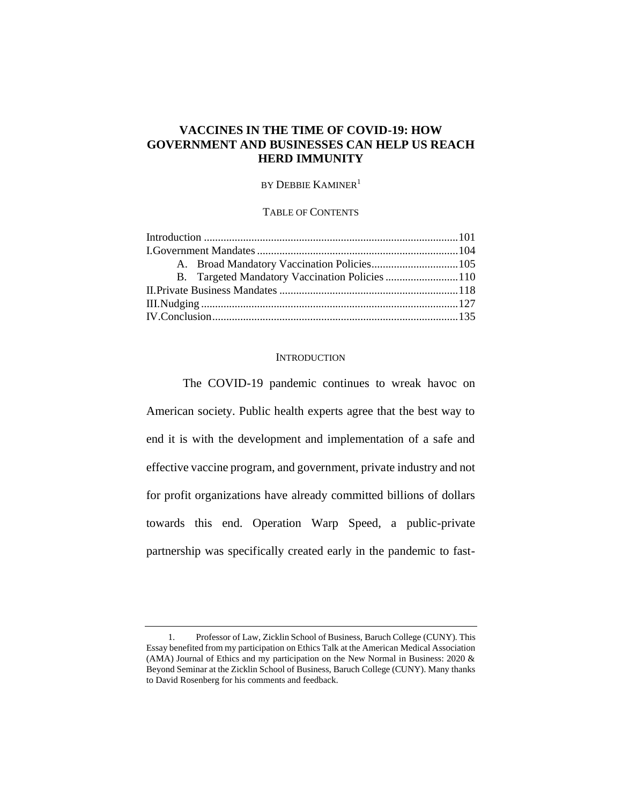# **VACCINES IN THE TIME OF COVID-19: HOW GOVERNMENT AND BUSINESSES CAN HELP US REACH HERD IMMUNITY**

# BY DEBBIE KAMINER<sup>1</sup>

### TABLE OF CONTENTS

|  | B. Targeted Mandatory Vaccination Policies 110 |  |
|--|------------------------------------------------|--|
|  |                                                |  |
|  |                                                |  |
|  |                                                |  |
|  |                                                |  |

# **INTRODUCTION**

The COVID-19 pandemic continues to wreak havoc on American society. Public health experts agree that the best way to end it is with the development and implementation of a safe and effective vaccine program, and government, private industry and not for profit organizations have already committed billions of dollars towards this end. Operation Warp Speed, a public-private partnership was specifically created early in the pandemic to fast-

<sup>1.</sup> Professor of Law, Zicklin School of Business, Baruch College (CUNY). This Essay benefited from my participation on Ethics Talk at the American Medical Association (AMA) Journal of Ethics and my participation on the New Normal in Business: 2020 & Beyond Seminar at the Zicklin School of Business, Baruch College (CUNY). Many thanks to David Rosenberg for his comments and feedback.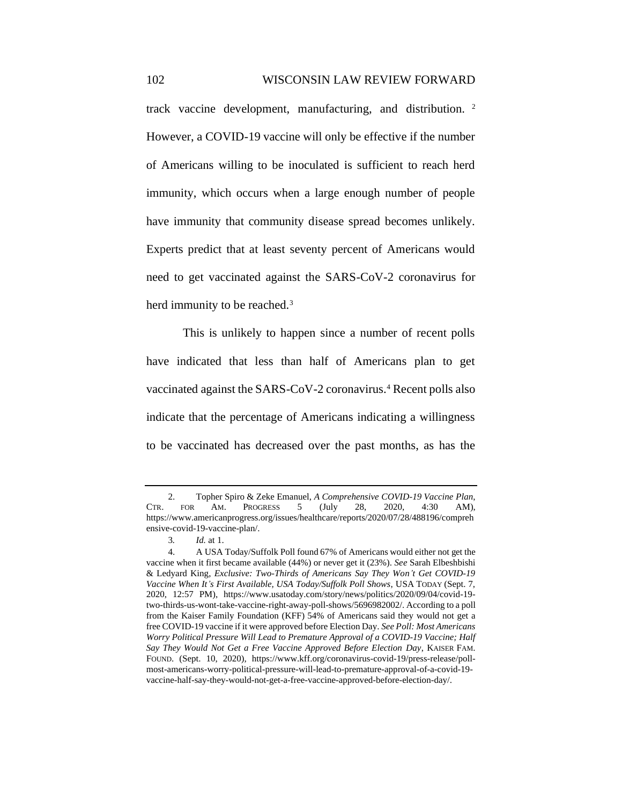track vaccine development, manufacturing, and distribution. <sup>2</sup> However, a COVID-19 vaccine will only be effective if the number of Americans willing to be inoculated is sufficient to reach herd immunity, which occurs when a large enough number of people have immunity that community disease spread becomes unlikely. Experts predict that at least seventy percent of Americans would need to get vaccinated against the SARS-CoV-2 coronavirus for herd immunity to be reached.<sup>3</sup>

This is unlikely to happen since a number of recent polls have indicated that less than half of Americans plan to get vaccinated against the SARS-CoV-2 coronavirus.<sup>4</sup> Recent polls also indicate that the percentage of Americans indicating a willingness to be vaccinated has decreased over the past months, as has the

<sup>2.</sup> Topher Spiro & Zeke Emanuel, *A Comprehensive COVID-19 Vaccine Plan*, CTR. FOR AM. PROGRESS 5 (July 28, 2020, 4:30 AM), https://www.americanprogress.org/issues/healthcare/reports/2020/07/28/488196/compreh ensive-covid-19-vaccine-plan/.

<sup>3</sup>*. Id.* at 1.

<sup>4.</sup> A USA Today/Suffolk Poll found 67% of Americans would either not get the vaccine when it first became available (44%) or never get it (23%). *See* Sarah Elbeshbishi & Ledyard King, *Exclusive: Two-Thirds of Americans Say They Won't Get COVID-19 Vaccine When It's First Available, USA Today/Suffolk Poll Shows*, USA TODAY (Sept. 7, 2020, 12:57 PM), https://www.usatoday.com/story/news/politics/2020/09/04/covid-19 two-thirds-us-wont-take-vaccine-right-away-poll-shows/5696982002/. According to a poll from the Kaiser Family Foundation (KFF) 54% of Americans said they would not get a free COVID-19 vaccine if it were approved before Election Day. *See Poll: Most Americans Worry Political Pressure Will Lead to Premature Approval of a COVID-19 Vaccine; Half Say They Would Not Get a Free Vaccine Approved Before Election Day*, KAISER FAM. FOUND. (Sept. 10, 2020)*,* https://www.kff.org/coronavirus-covid-19/press-release/pollmost-americans-worry-political-pressure-will-lead-to-premature-approval-of-a-covid-19 vaccine-half-say-they-would-not-get-a-free-vaccine-approved-before-election-day/.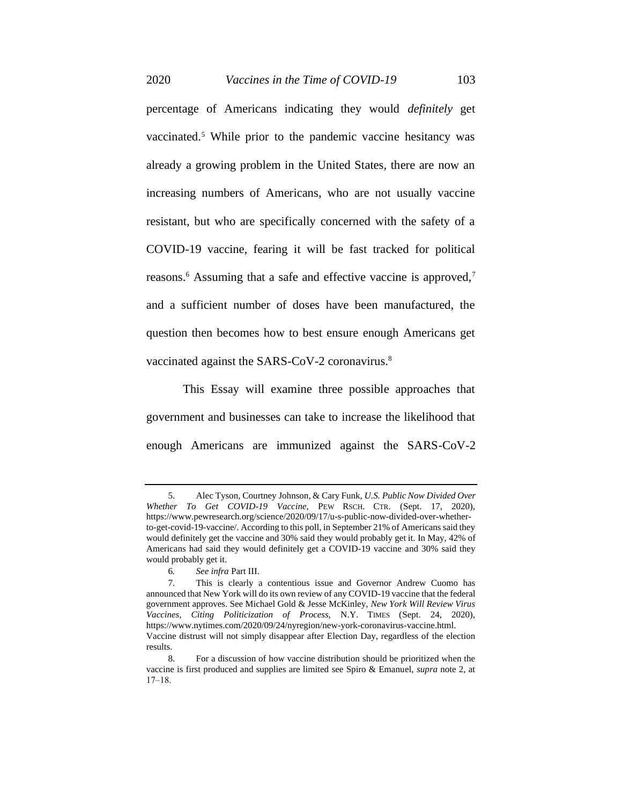2020 *Vaccines in the Time of COVID-19* 103

percentage of Americans indicating they would *definitely* get vaccinated.<sup>5</sup> While prior to the pandemic vaccine hesitancy was already a growing problem in the United States, there are now an increasing numbers of Americans, who are not usually vaccine resistant, but who are specifically concerned with the safety of a COVID-19 vaccine, fearing it will be fast tracked for political reasons.<sup>6</sup> Assuming that a safe and effective vaccine is approved,<sup>7</sup> and a sufficient number of doses have been manufactured, the question then becomes how to best ensure enough Americans get vaccinated against the SARS-CoV-2 coronavirus.<sup>8</sup>

This Essay will examine three possible approaches that government and businesses can take to increase the likelihood that enough Americans are immunized against the SARS-CoV-2

<sup>5.</sup> Alec Tyson[, Courtney Johnson,](https://www.pewresearch.org/staff/courtney-johnson) [& Cary Funk,](https://www.pewresearch.org/staff/cary-funk) *U.S. Public Now Divided Over Whether To Get COVID-19 Vaccine*, PEW RSCH. CTR. (Sept. 17, 2020), https://www.pewresearch.org/science/2020/09/17/u-s-public-now-divided-over-whetherto-get-covid-19-vaccine/. According to this poll, in September 21% of Americans said they would definitely get the vaccine and 30% said they would probably get it. In May, 42% of Americans had said they would definitely get a COVID-19 vaccine and 30% said they would probably get it.

<sup>6</sup>*. See infra* Part III.

<sup>7.</sup> This is clearly a contentious issue and Governor Andrew Cuomo has announced that New York will do its own review of any COVID-19 vaccine that the federal government approves. See Michael Gold & Jesse McKinley, *New York Will Review Virus Vaccines, Citing Politicization of Process,* N.Y. TIMES (Sept. 24, 2020), https://www.nytimes.com/2020/09/24/nyregion/new-york-coronavirus-vaccine.html. Vaccine distrust will not simply disappear after Election Day, regardless of the election results.

<sup>8.</sup> For a discussion of how vaccine distribution should be prioritized when the vaccine is first produced and supplies are limited see Spiro & Emanuel, *supra* note 2, at  $17 - 18$ .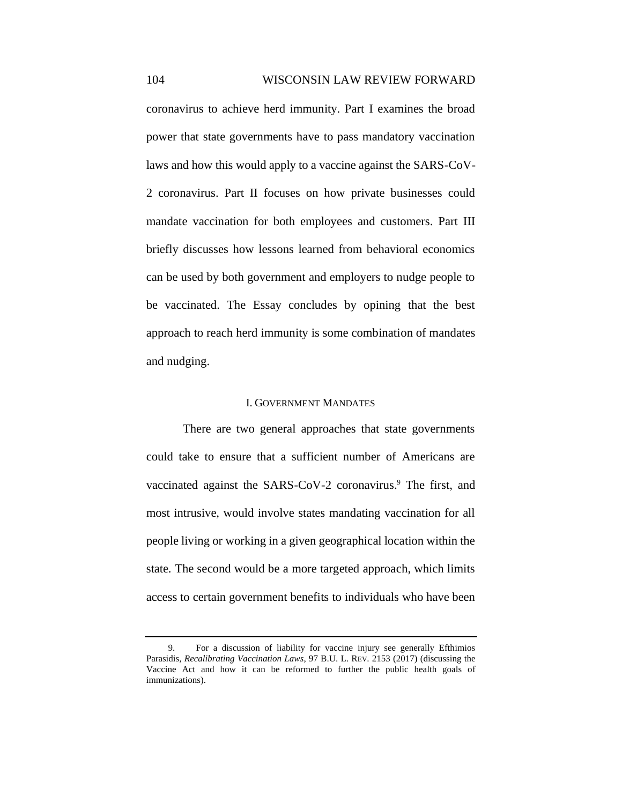coronavirus to achieve herd immunity. Part I examines the broad power that state governments have to pass mandatory vaccination laws and how this would apply to a vaccine against the SARS-CoV-2 coronavirus. Part II focuses on how private businesses could mandate vaccination for both employees and customers. Part III briefly discusses how lessons learned from behavioral economics can be used by both government and employers to nudge people to be vaccinated. The Essay concludes by opining that the best approach to reach herd immunity is some combination of mandates and nudging.

### I. GOVERNMENT MANDATES

There are two general approaches that state governments could take to ensure that a sufficient number of Americans are vaccinated against the SARS-CoV-2 coronavirus.<sup>9</sup> The first, and most intrusive, would involve states mandating vaccination for all people living or working in a given geographical location within the state. The second would be a more targeted approach, which limits access to certain government benefits to individuals who have been

<sup>9.</sup> For a discussion of liability for vaccine injury see generally Efthimios Parasidis, *Recalibrating Vaccination Laws*, 97 B.U. L. REV. 2153 (2017) (discussing the Vaccine Act and how it can be reformed to further the public health goals of immunizations).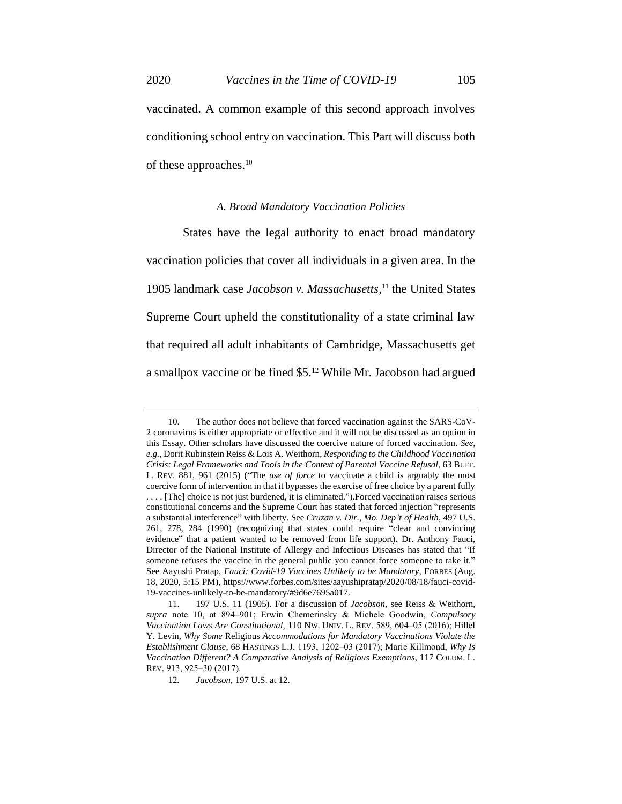vaccinated. A common example of this second approach involves conditioning school entry on vaccination. This Part will discuss both of these approaches.<sup>10</sup>

#### *A. Broad Mandatory Vaccination Policies*

States have the legal authority to enact broad mandatory vaccination policies that cover all individuals in a given area. In the 1905 landmark case *Jacobson v. Massachusetts*, <sup>11</sup> the United States Supreme Court upheld the constitutionality of a state criminal law that required all adult inhabitants of Cambridge, Massachusetts get a smallpox vaccine or be fined \$5.<sup>12</sup> While Mr. Jacobson had argued

<sup>10.</sup> The author does not believe that forced vaccination against the SARS-CoV-2 coronavirus is either appropriate or effective and it will not be discussed as an option in this Essay. Other scholars have discussed the coercive nature of forced vaccination. *See, e.g.*, Dorit Rubinstein Reiss & Lois A. Weithorn, *Responding to the Childhood Vaccination Crisis: Legal Frameworks and Tools in the Context of Parental Vaccine Refusal*, 63 BUFF. L. REV. 881, 961 (2015) ("The *use of force* to vaccinate a child is arguably the most coercive form of intervention in that it bypasses the exercise of free choice by a parent fully . . . . [The] choice is not just burdened, it is eliminated.").Forced vaccination raises serious constitutional concerns and the Supreme Court has stated that forced injection "represents a substantial interference" with liberty. See *Cruzan v. Dir., Mo. Dep't of Health*, 497 U.S. 261, 278, 284 (1990) (recognizing that states could require "clear and convincing evidence" that a patient wanted to be removed from life support). Dr. Anthony Fauci, Director of the National Institute of Allergy and Infectious Diseases has stated that "If someone refuses the vaccine in the general public you cannot force someone to take it." See Aayushi Pratap, *Fauci: Covid-19 Vaccines Unlikely to be Mandatory*, FORBES (Aug. 18, 2020, 5:15 PM), https://www.forbes.com/sites/aayushipratap/2020/08/18/fauci-covid-19-vaccines-unlikely-to-be-mandatory/#9d6e7695a017.

<sup>11.</sup> 197 U.S. 11 (1905). For a discussion of *Jacobson*, see Reiss & Weithorn, supra note 10, at 894–901; Erwin Chemerinsky & Michele Goodwin, *Compulsory Vaccination Laws Are Constitutional*, 110 NW. UNIV. L. REV. 589, 604‒05 (2016); Hillel Y. Levin, *Why Some* Religious *Accommodations for Mandatory Vaccinations Violate the Establishment Clause*, 68 HASTINGS L.J. 1193, 1202‒03 (2017); Marie Killmond, *Why Is Vaccination Different? A Comparative Analysis of Religious Exemptions*, 117 COLUM. L. REV. 913, 925‒30 (2017).

<sup>12</sup>*. Jacobson*, 197 U.S. at 12.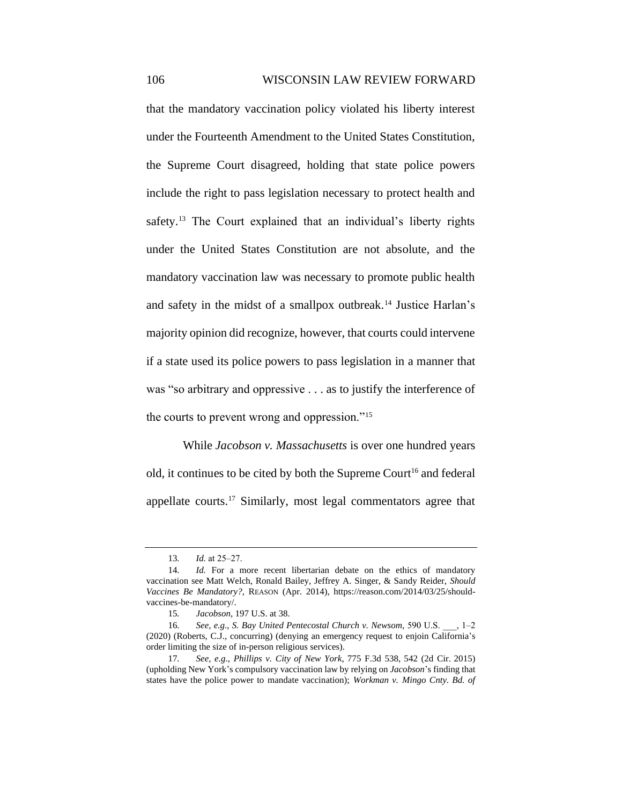that the mandatory vaccination policy violated his liberty interest under the Fourteenth Amendment to the United States Constitution, the Supreme Court disagreed, holding that state police powers include the right to pass legislation necessary to protect health and safety.<sup>13</sup> The Court explained that an individual's liberty rights under the United States Constitution are not absolute, and the mandatory vaccination law was necessary to promote public health and safety in the midst of a smallpox outbreak.<sup>14</sup> Justice Harlan's majority opinion did recognize, however, that courts could intervene if a state used its police powers to pass legislation in a manner that was "so arbitrary and oppressive . . . as to justify the interference of the courts to prevent wrong and oppression."<sup>15</sup>

While *Jacobson v. Massachusetts* is over one hundred years old, it continues to be cited by both the Supreme Court<sup>16</sup> and federal appellate courts.<sup>17</sup> Similarly, most legal commentators agree that

<sup>13.</sup> *Id.* at 25–27.

<sup>14.</sup> *Id.* For a more recent libertarian debate on the ethics of mandatory vaccination see Matt Welch, Ronald Bailey, Jeffrey A. Singer, & Sandy Reider, *Should Vaccines Be Mandatory?*, REASON (Apr. 2014), https://reason.com/2014/03/25/shouldvaccines-be-mandatory/.

<sup>15</sup>*. Jacobson*, 197 U.S. at 38.

<sup>16</sup>*. See, e.g*., *S. Bay United Pentecostal Church v. Newsom,* 590 U.S. \_\_\_, 1‒2 (2020) (Roberts, C.J., concurring) (denying an emergency request to enjoin California's order limiting the size of in-person religious services).

<sup>17</sup>*. See, e.g*., *Phillips v. City of New York*, 775 F.3d 538, 542 (2d Cir. 2015) (upholding New York's compulsory vaccination law by relying on *Jacobson*'s finding that states have the police power to mandate vaccination); *Workman v. Mingo Cnty. Bd. of*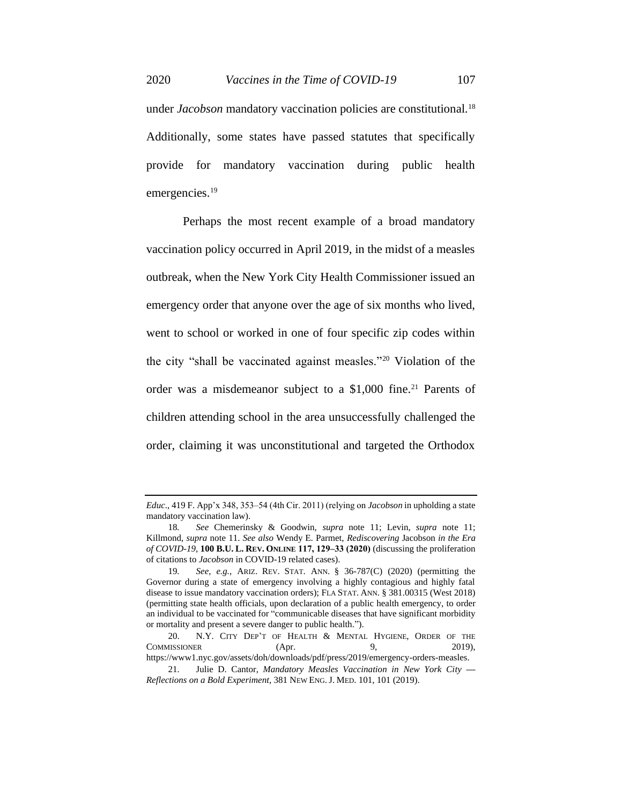under *Jacobson* mandatory vaccination policies are constitutional.<sup>18</sup> Additionally, some states have passed statutes that specifically provide for mandatory vaccination during public health emergencies.<sup>19</sup>

Perhaps the most recent example of a broad mandatory vaccination policy occurred in April 2019, in the midst of a measles outbreak, when the New York City Health Commissioner issued an emergency order that anyone over the age of six months who lived, went to school or worked in one of four specific zip codes within the city "shall be vaccinated against measles."<sup>20</sup> Violation of the order was a misdemeanor subject to a  $$1,000$  fine.<sup>21</sup> Parents of children attending school in the area unsuccessfully challenged the order, claiming it was unconstitutional and targeted the Orthodox

*Educ.*, 419 F. App'x 348, 353–54 (4th Cir. 2011) (relying on *Jacobson* in upholding a state mandatory vaccination law).

<sup>18</sup>*. See* Chemerinsky & Goodwin, *supra* note 11; Levin, *supra* note 11; Killmond, *supra* note 11. *See also* Wendy E. Parmet, *Rediscovering* Jacobson *in the Era of COVID-19*, **100 B.U. L. REV. ONLINE 117, 129‒33 (2020)** (discussing the proliferation of citations to *Jacobson* in COVID-19 related cases).

<sup>19</sup>*. See, e.g.*, ARIZ. REV. STAT. ANN. § 36-787(C) (2020) (permitting the Governor during a state of emergency involving a highly contagious and highly fatal disease to issue mandatory vaccination orders); FLA STAT. ANN. § 381.00315 (West 2018) (permitting state health officials, upon declaration of a public health emergency, to order an individual to be vaccinated for "communicable diseases that have significant morbidity or mortality and present a severe danger to public health.").

<sup>20.</sup> N.Y. CITY DEP'T OF HEALTH & MENTAL HYGIENE, ORDER OF THE COMMISSIONER (Apr. 9, 2019), https://www1.nyc.gov/assets/doh/downloads/pdf/press/2019/emergency-orders-measles.

<sup>21.</sup> Julie D. Cantor, *Mandatory Measles Vaccination in New York City — Reflections on a Bold Experiment*, 381 NEW ENG.J. MED. 101, 101 (2019).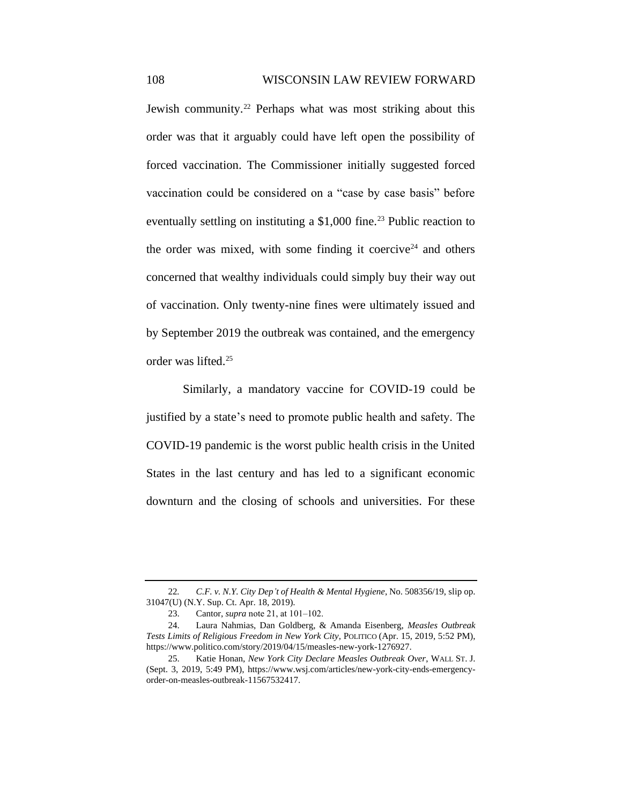Jewish community.<sup>22</sup> Perhaps what was most striking about this order was that it arguably could have left open the possibility of forced vaccination. The Commissioner initially suggested forced vaccination could be considered on a "case by case basis" before eventually settling on instituting a  $$1,000$  fine.<sup>23</sup> Public reaction to the order was mixed, with some finding it coercive<sup>24</sup> and others concerned that wealthy individuals could simply buy their way out of vaccination. Only twenty-nine fines were ultimately issued and by September 2019 the outbreak was contained, and the emergency order was lifted.<sup>25</sup>

Similarly, a mandatory vaccine for COVID-19 could be justified by a state's need to promote public health and safety. The COVID-19 pandemic is the worst public health crisis in the United States in the last century and has led to a significant economic downturn and the closing of schools and universities. For these

<sup>22</sup>*. C.F. v. N.Y. City Dep't of Health & Mental Hygiene*, No. 508356/19, slip op. 31047(U) (N.Y. Sup. Ct. Apr. 18, 2019).

<sup>23.</sup> Cantor, *supra* note 21, at 101–102.

<sup>24.</sup> Laura Nahmias, Dan Goldberg, & Amanda Eisenberg, *Measles Outbreak Tests Limits of Religious Freedom in New York City*, POLITICO (Apr. 15, 2019, 5:52 PM), https://www.politico.com/story/2019/04/15/measles-new-york-1276927.

<sup>25.</sup> Katie Honan, *New York City Declare Measles Outbreak Over*, WALL ST. J. (Sept. 3, 2019, 5:49 PM), https://www.wsj.com/articles/new-york-city-ends-emergencyorder-on-measles-outbreak-11567532417.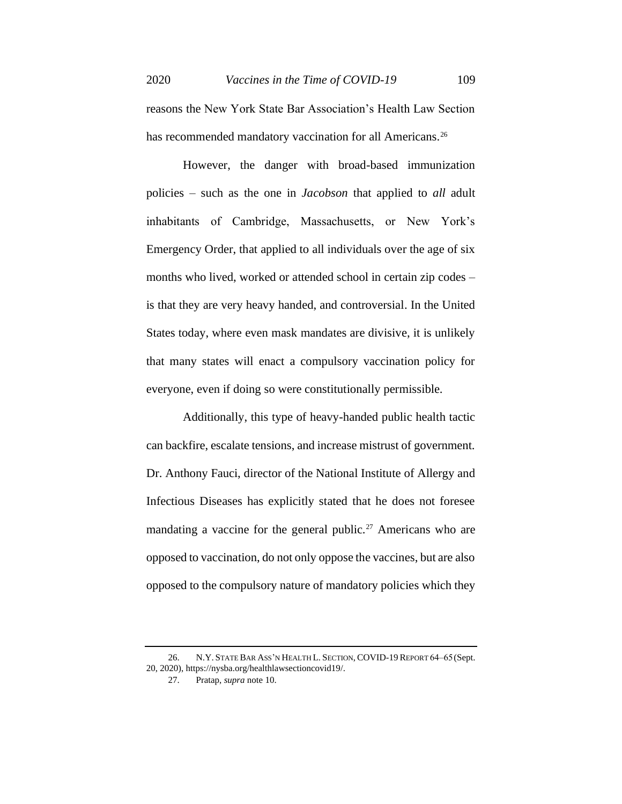reasons the New York State Bar Association's Health Law Section has recommended mandatory vaccination for all Americans.<sup>26</sup>

However, the danger with broad-based immunization policies – such as the one in *Jacobson* that applied to *all* adult inhabitants of Cambridge, Massachusetts, or New York's Emergency Order, that applied to all individuals over the age of six months who lived, worked or attended school in certain zip codes – is that they are very heavy handed, and controversial. In the United States today, where even mask mandates are divisive, it is unlikely that many states will enact a compulsory vaccination policy for everyone, even if doing so were constitutionally permissible.

Additionally, this type of heavy-handed public health tactic can backfire, escalate tensions, and increase mistrust of government. Dr. Anthony Fauci, director of the National Institute of Allergy and Infectious Diseases has explicitly stated that he does not foresee mandating a vaccine for the general public.<sup>27</sup> Americans who are opposed to vaccination, do not only oppose the vaccines, but are also opposed to the compulsory nature of mandatory policies which they

<sup>26.</sup> N.Y. STATE BAR ASS'N HEALTH L. SECTION, COVID-19 REPORT 64-65 (Sept. 20, 2020), https://nysba.org/healthlawsectioncovid19/.

<sup>27.</sup> Pratap, *supra* note 10.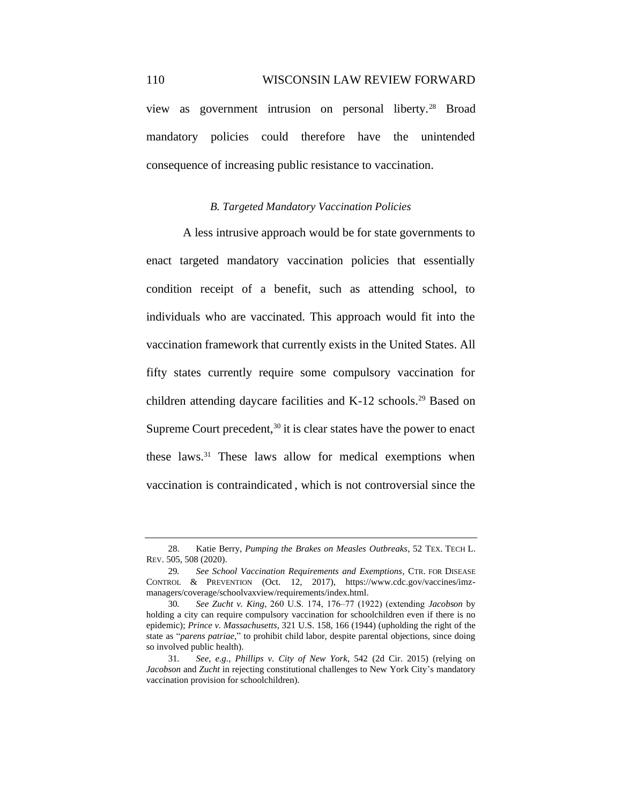view as government intrusion on personal liberty.<sup>28</sup> Broad mandatory policies could therefore have the unintended consequence of increasing public resistance to vaccination.

### *B. Targeted Mandatory Vaccination Policies*

A less intrusive approach would be for state governments to enact targeted mandatory vaccination policies that essentially condition receipt of a benefit, such as attending school, to individuals who are vaccinated. This approach would fit into the vaccination framework that currently exists in the United States. All fifty states currently require some compulsory vaccination for children attending daycare facilities and K-12 schools.<sup>29</sup> Based on Supreme Court precedent,  $30$  it is clear states have the power to enact these laws.<sup>31</sup> These laws allow for medical exemptions when vaccination is contraindicated , which is not controversial since the

<sup>28.</sup> Katie Berry, *Pumping the Brakes on Measles Outbreaks*, 52 TEX. TECH L. REV. 505, 508 (2020).

<sup>29</sup>*. See School Vaccination Requirements and Exemptions*, CTR. FOR DISEASE CONTROL & PREVENTION (Oct. 12, 2017), https://www.cdc.gov/vaccines/imzmanagers/coverage/schoolvaxview/requirements/index.html.

<sup>30</sup>*. See Zucht v. King*, 260 U.S. 174, 176‒77 (1922) (extending *Jacobson* by holding a city can require compulsory vaccination for schoolchildren even if there is no epidemic); *Prince v. Massachusetts*, 321 U.S. 158, 166 (1944) (upholding the right of the state as "*parens patriae*," to prohibit child labor, despite parental objections, since doing so involved public health).

<sup>31</sup>*. See, e.g.*, *Phillips v. City of New York*, 542 (2d Cir. 2015) (relying on *Jacobson* and *Zucht* in rejecting constitutional challenges to New York City's mandatory vaccination provision for schoolchildren).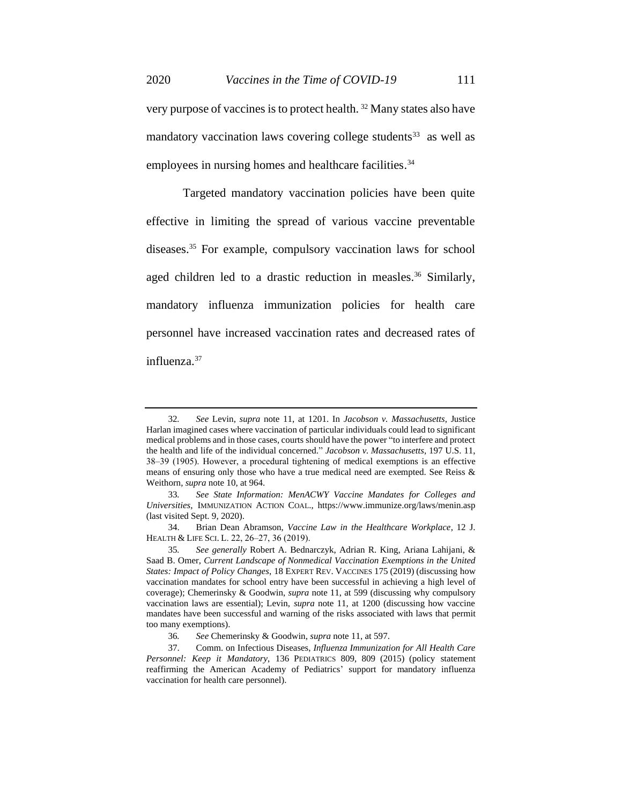very purpose of vaccines is to protect health. <sup>32</sup> Many states also have mandatory vaccination laws covering college students<sup>33</sup> as well as employees in nursing homes and healthcare facilities.<sup>34</sup>

Targeted mandatory vaccination policies have been quite effective in limiting the spread of various vaccine preventable diseases.<sup>35</sup> For example, compulsory vaccination laws for school aged children led to a drastic reduction in measles.<sup>36</sup> Similarly, mandatory influenza immunization policies for health care personnel have increased vaccination rates and decreased rates of influenza.<sup>37</sup>

<sup>32</sup>*. See* Levin, *supra* note 11, at 1201. In *Jacobson v. Massachusetts,* Justice Harlan imagined cases where vaccination of particular individuals could lead to significant medical problems and in those cases, courts should have the power "to interfere and protect the health and life of the individual concerned." *Jacobson v. Massachusetts*, 197 U.S. 11, 38‒39 (1905). However, a procedural tightening of medical exemptions is an effective means of ensuring only those who have a true medical need are exempted. See Reiss & Weithorn, *supra* note 10, at 964.

<sup>33</sup>*. See State Information: MenACWY Vaccine Mandates for Colleges and Universities*, IMMUNIZATION ACTION COAL., https://www.immunize.org/laws/menin.asp (last visited Sept. 9, 2020).

<sup>34.</sup> Brian Dean Abramson, *Vaccine Law in the Healthcare Workplace*, 12 J. HEALTH & LIFE SCI. L. 22, 26-27, 36 (2019).

<sup>35</sup>*. See generally* Robert A. Bednarczyk, Adrian R. King, Ariana Lahijani, & Saad B. Omer, *Current Landscape of Nonmedical Vaccination Exemptions in the United States: Impact of Policy Changes*, 18 EXPERT REV. VACCINES 175 (2019) (discussing how vaccination mandates for school entry have been successful in achieving a high level of coverage); Chemerinsky & Goodwin, *supra* note 11, at 599 (discussing why compulsory vaccination laws are essential); Levin, *supra* note 11, at 1200 (discussing how vaccine mandates have been successful and warning of the risks associated with laws that permit too many exemptions).

<sup>36</sup>*. See* Chemerinsky & Goodwin, *supra* note 11, at 597.

<sup>37.</sup> Comm. on Infectious Diseases, *Influenza Immunization for All Health Care Personnel: Keep it Mandatory*, 136 PEDIATRICS 809, 809 (2015) (policy statement reaffirming the American Academy of Pediatrics' support for mandatory influenza vaccination for health care personnel).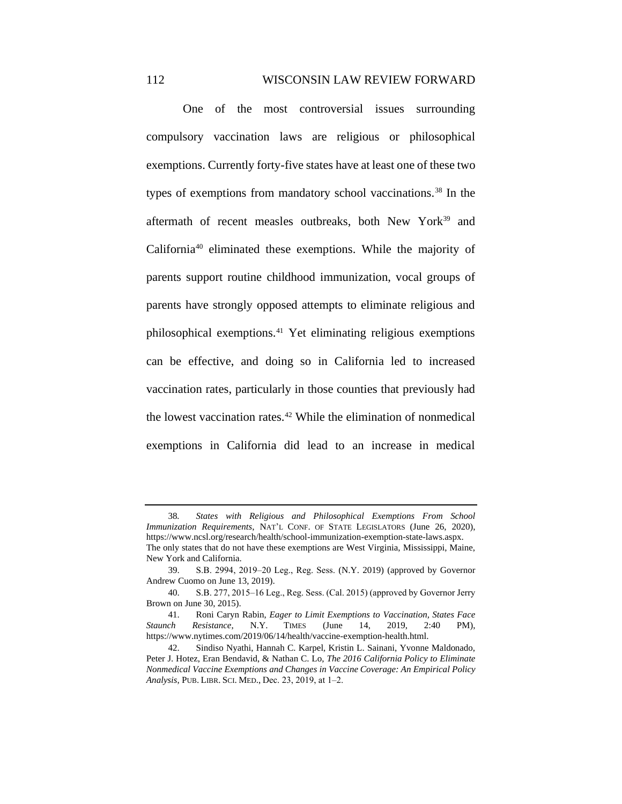One of the most controversial issues surrounding compulsory vaccination laws are religious or philosophical exemptions. Currently forty-five states have at least one of these two types of exemptions from mandatory school vaccinations.<sup>38</sup> In the aftermath of recent measles outbreaks, both New York<sup>39</sup> and California<sup>40</sup> eliminated these exemptions. While the majority of parents support routine childhood immunization, vocal groups of parents have strongly opposed attempts to eliminate religious and philosophical exemptions.<sup>41</sup> Yet eliminating religious exemptions can be effective, and doing so in California led to increased vaccination rates, particularly in those counties that previously had the lowest vaccination rates.<sup>42</sup> While the elimination of nonmedical exemptions in California did lead to an increase in medical

<sup>38</sup>*. States with Religious and Philosophical Exemptions From School Immunization Requirements*, NAT'L CONF. OF STATE LEGISLATORS (June 26, 2020), https://www.ncsl.org/research/health/school-immunization-exemption-state-laws.aspx. The only states that do not have these exemptions are West Virginia, Mississippi, Maine, New York and California.

<sup>39.</sup> S.B. 2994, 2019-20 Leg., Reg. Sess. (N.Y. 2019) (approved by Governor Andrew Cuomo on June 13, 2019).

<sup>40.</sup> S.B. 277, 2015–16 Leg., Reg. Sess. (Cal. 2015) (approved by Governor Jerry Brown on June 30, 2015).

<sup>41.</sup> Roni Caryn Rabin, *Eager to Limit Exemptions to Vaccination, States Face Staunch Resistance*, N.Y. TIMES (June 14, 2019, 2:40 PM), https://www.nytimes.com/2019/06/14/health/vaccine-exemption-health.html.

<sup>42.</sup> Sindiso Nyathi, Hannah C. Karpel, Kristin L. Sainani, Yvonne Maldonado, Peter J. Hotez, Eran Bendavid, & Nathan C. Lo, *The 2016 California Policy to Eliminate Nonmedical Vaccine Exemptions and Changes in Vaccine Coverage: An Empirical Policy Analysis*, PUB. LIBR. SCI. MED., Dec. 23, 2019, at 1‒2.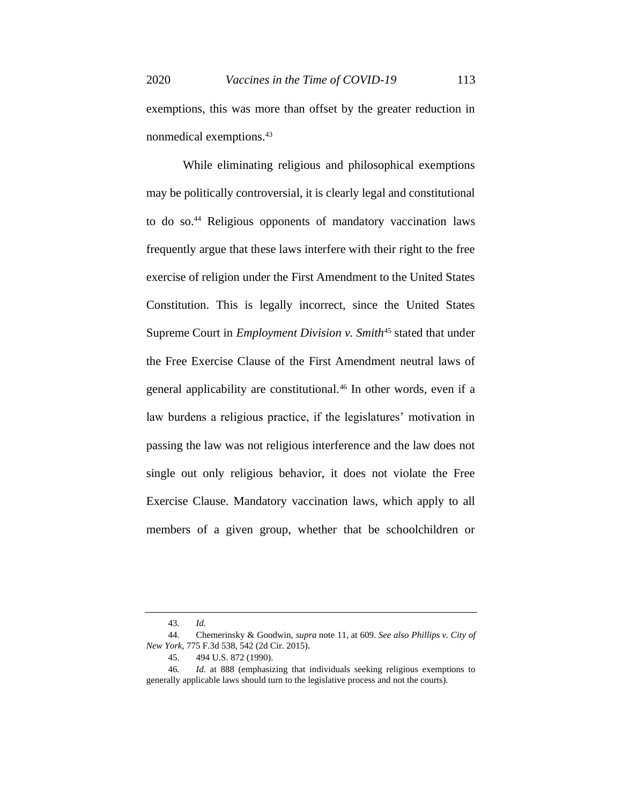exemptions, this was more than offset by the greater reduction in nonmedical exemptions.<sup>43</sup>

While eliminating religious and philosophical exemptions may be politically controversial, it is clearly legal and constitutional to do so.<sup>44</sup> Religious opponents of mandatory vaccination laws frequently argue that these laws interfere with their right to the free exercise of religion under the First Amendment to the United States Constitution. This is legally incorrect, since the United States Supreme Court in *Employment Division v. Smith*<sup>45</sup> stated that under the Free Exercise Clause of the First Amendment neutral laws of general applicability are constitutional.<sup>46</sup> In other words, even if a law burdens a religious practice, if the legislatures' motivation in passing the law was not religious interference and the law does not single out only religious behavior, it does not violate the Free Exercise Clause. Mandatory vaccination laws, which apply to all members of a given group, whether that be schoolchildren or

<sup>43</sup>*. Id.*

<sup>44.</sup> Chemerinsky & Goodwin, *supra* note 11, at 609. *See also Phillips v. City of New York*, 775 F.3d 538, 542 (2d Cir. 2015).

<sup>45.</sup> 494 U.S. 872 (1990).

<sup>46</sup>*. Id.* at 888 (emphasizing that individuals seeking religious exemptions to generally applicable laws should turn to the legislative process and not the courts).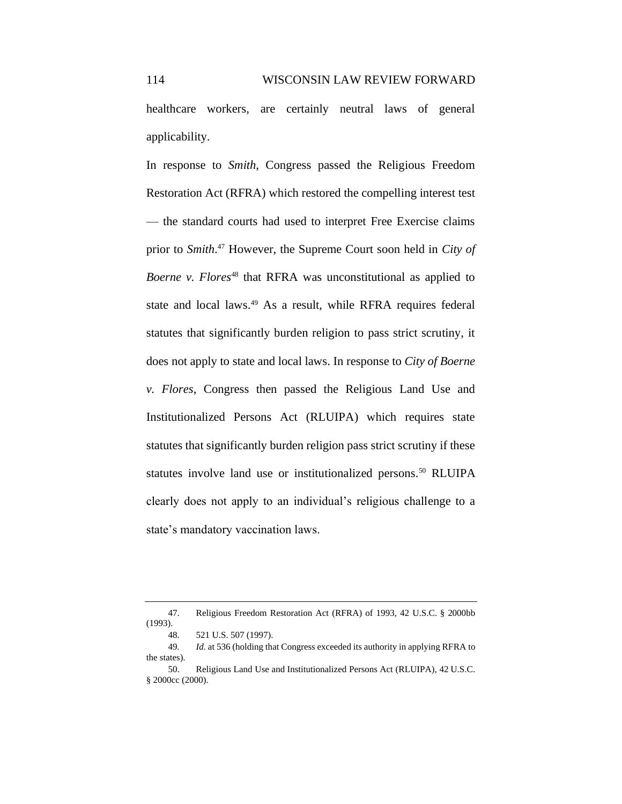healthcare workers, are certainly neutral laws of general applicability.

In response to *Smith*, Congress passed the Religious Freedom Restoration Act (RFRA) which restored the compelling interest test — the standard courts had used to interpret Free Exercise claims prior to *Smith*. <sup>47</sup> However, the Supreme Court soon held in *City of Boerne v. Flores*<sup>48</sup> that RFRA was unconstitutional as applied to state and local laws.<sup>49</sup> As a result, while RFRA requires federal statutes that significantly burden religion to pass strict scrutiny, it does not apply to state and local laws. In response to *City of Boerne v. Flores*, Congress then passed the Religious Land Use and Institutionalized Persons Act (RLUIPA) which requires state statutes that significantly burden religion pass strict scrutiny if these statutes involve land use or institutionalized persons.<sup>50</sup> RLUIPA clearly does not apply to an individual's religious challenge to a state's mandatory vaccination laws.

<sup>47.</sup> Religious Freedom Restoration Act (RFRA) of 1993, 42 U.S.C. § 2000bb (1993).

<sup>48.</sup> 521 U.S. 507 (1997).

<sup>49</sup>*. Id.* at 536 (holding that Congress exceeded its authority in applying RFRA to the states).

<sup>50.</sup> Religious Land Use and Institutionalized Persons Act (RLUIPA), 42 U.S.C. § 2000cc (2000).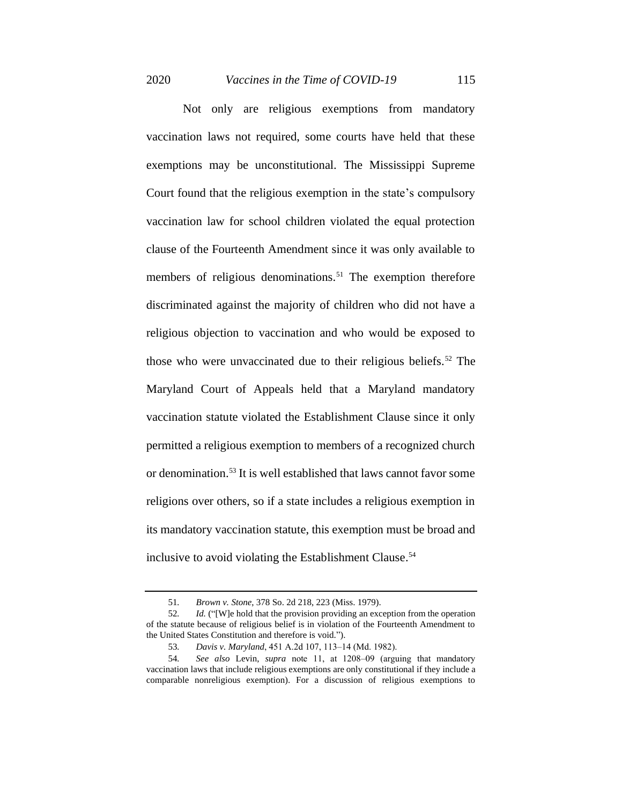Not only are religious exemptions from mandatory vaccination laws not required, some courts have held that these exemptions may be unconstitutional. The Mississippi Supreme Court found that the religious exemption in the state's compulsory vaccination law for school children violated the equal protection clause of the Fourteenth Amendment since it was only available to members of religious denominations.<sup>51</sup> The exemption therefore discriminated against the majority of children who did not have a religious objection to vaccination and who would be exposed to those who were unvaccinated due to their religious beliefs.<sup>52</sup> The Maryland Court of Appeals held that a Maryland mandatory vaccination statute violated the Establishment Clause since it only permitted a religious exemption to members of a recognized church or denomination.<sup>53</sup> It is well established that laws cannot favor some religions over others, so if a state includes a religious exemption in its mandatory vaccination statute, this exemption must be broad and inclusive to avoid violating the Establishment Clause.<sup>54</sup>

<sup>51</sup>*. Brown v. Stone*, 378 So. 2d 218, 223 (Miss. 1979).

<sup>52</sup>*. Id.* ("[W]e hold that the provision providing an exception from the operation of the statute because of religious belief is in violation of the Fourteenth Amendment to the United States Constitution and therefore is void.").

<sup>53</sup>*. Davis v. Maryland*, 451 A.2d 107, 113‒14 (Md. 1982).

<sup>54</sup>*. See also* Levin, *supra* note 11, at 1208‒09 (arguing that mandatory vaccination laws that include religious exemptions are only constitutional if they include a comparable nonreligious exemption). For a discussion of religious exemptions to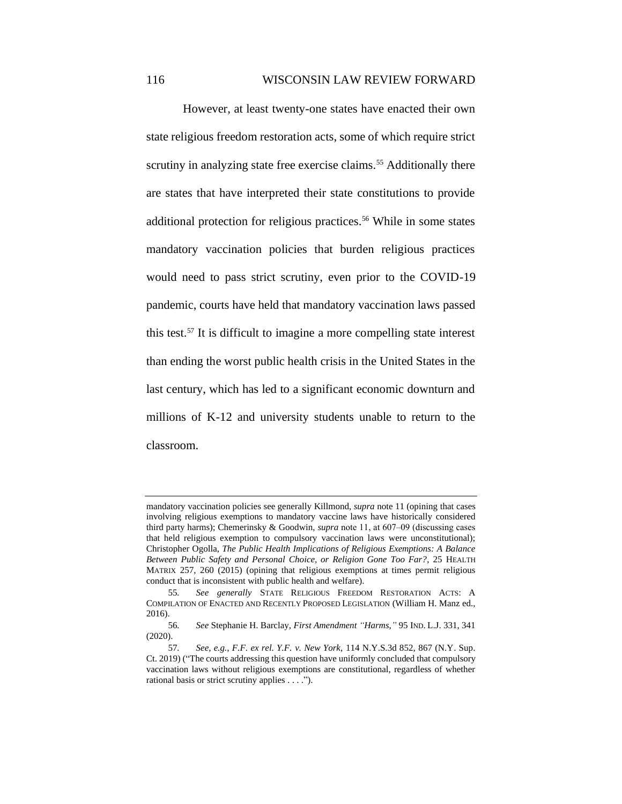However, at least twenty-one states have enacted their own state religious freedom restoration acts, some of which require strict scrutiny in analyzing state free exercise claims.<sup>55</sup> Additionally there are states that have interpreted their state constitutions to provide additional protection for religious practices.<sup>56</sup> While in some states mandatory vaccination policies that burden religious practices would need to pass strict scrutiny, even prior to the COVID-19 pandemic, courts have held that mandatory vaccination laws passed this test.<sup>57</sup> It is difficult to imagine a more compelling state interest than ending the worst public health crisis in the United States in the last century, which has led to a significant economic downturn and millions of K-12 and university students unable to return to the classroom.

mandatory vaccination policies see generally Killmond, *supra* note 11 (opining that cases involving religious exemptions to mandatory vaccine laws have historically considered third party harms); Chemerinsky & Goodwin, *supra* note 11, at 607–09 (discussing cases that held religious exemption to compulsory vaccination laws were unconstitutional); Christopher Ogolla, *The Public Health Implications of Religious Exemptions: A Balance Between Public Safety and Personal Choice, or Religion Gone Too Far?*, 25 HEALTH MATRIX 257, 260 (2015) (opining that religious exemptions at times permit religious conduct that is inconsistent with public health and welfare).

<sup>55</sup>*. See generally* STATE RELIGIOUS FREEDOM RESTORATION ACTS: A COMPILATION OF ENACTED AND RECENTLY PROPOSED LEGISLATION (William H. Manz ed., 2016).

<sup>56</sup>*. See* Stephanie H. Barclay, *First Amendment "Harms*,*"* 95 IND. L.J. 331, 341 (2020).

<sup>57</sup>*. See, e.g.*, *F.F. ex rel. Y.F. v. New York*, 114 N.Y.S.3d 852, 867 (N.Y. Sup. Ct. 2019) ("The courts addressing this question have uniformly concluded that compulsory vaccination laws without religious exemptions are constitutional, regardless of whether rational basis or strict scrutiny applies . . . .").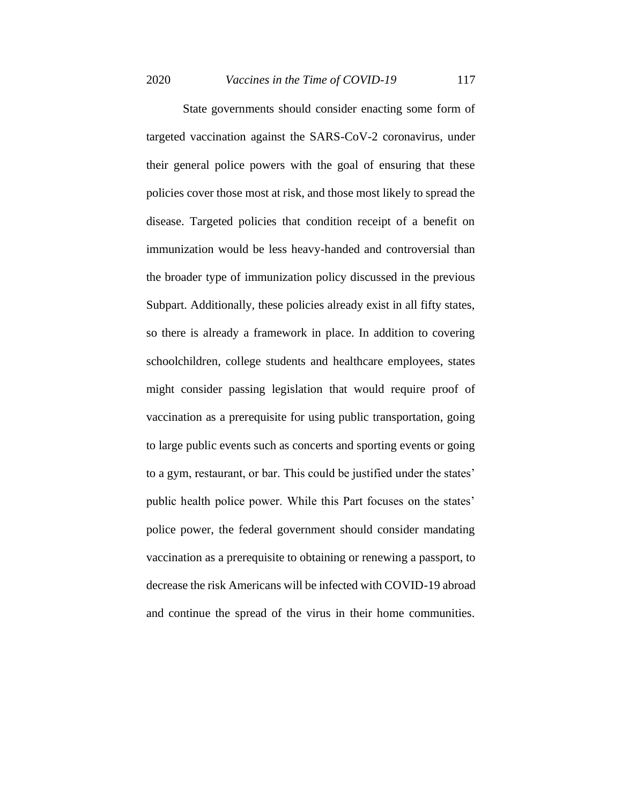State governments should consider enacting some form of targeted vaccination against the SARS-CoV-2 coronavirus, under their general police powers with the goal of ensuring that these policies cover those most at risk, and those most likely to spread the disease. Targeted policies that condition receipt of a benefit on immunization would be less heavy-handed and controversial than the broader type of immunization policy discussed in the previous Subpart. Additionally, these policies already exist in all fifty states, so there is already a framework in place. In addition to covering schoolchildren, college students and healthcare employees, states might consider passing legislation that would require proof of vaccination as a prerequisite for using public transportation, going to large public events such as concerts and sporting events or going to a gym, restaurant, or bar. This could be justified under the states' public health police power. While this Part focuses on the states' police power, the federal government should consider mandating vaccination as a prerequisite to obtaining or renewing a passport, to decrease the risk Americans will be infected with COVID-19 abroad and continue the spread of the virus in their home communities.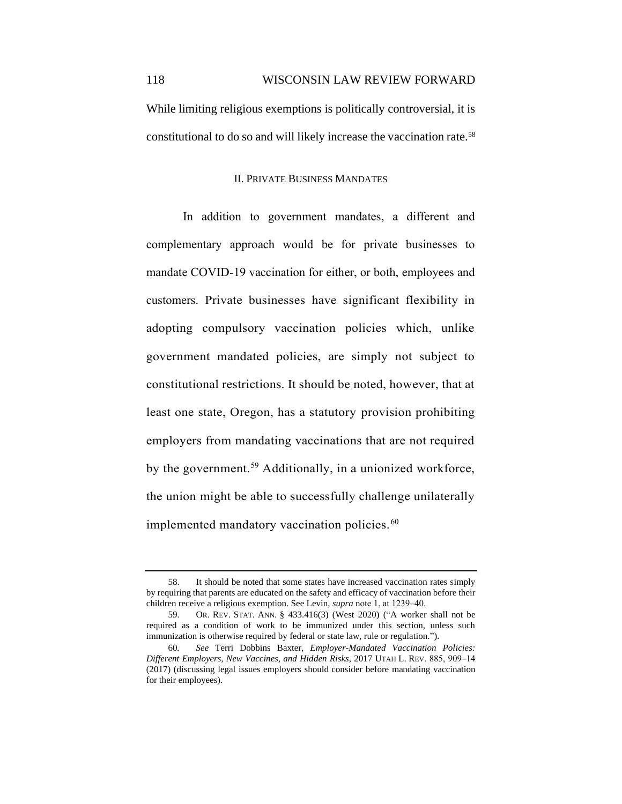While limiting religious exemptions is politically controversial, it is constitutional to do so and will likely increase the vaccination rate.<sup>58</sup>

#### II. PRIVATE BUSINESS MANDATES

In addition to government mandates, a different and complementary approach would be for private businesses to mandate COVID-19 vaccination for either, or both, employees and customers. Private businesses have significant flexibility in adopting compulsory vaccination policies which, unlike government mandated policies, are simply not subject to constitutional restrictions. It should be noted, however, that at least one state, Oregon, has a statutory provision prohibiting employers from mandating vaccinations that are not required by the government.<sup>59</sup> Additionally, in a unionized workforce, the union might be able to successfully challenge unilaterally implemented mandatory vaccination policies.<sup>60</sup>

<sup>58.</sup> It should be noted that some states have increased vaccination rates simply by requiring that parents are educated on the safety and efficacy of vaccination before their children receive a religious exemption. See Levin, *supra* note 1, at 1239–40.

<sup>59.</sup> OR. REV. STAT. ANN. § 433.416(3) (West 2020) ("A worker shall not be required as a condition of work to be immunized under this section, unless such immunization is otherwise required by federal or state law, rule or regulation.").

<sup>60</sup>*. See* Terri Dobbins Baxter, *Employer-Mandated Vaccination Policies: Different Employers, New Vaccines, and Hidden Risks*, 2017 UTAH L. REV. 885, 909‒14 (2017) (discussing legal issues employers should consider before mandating vaccination for their employees).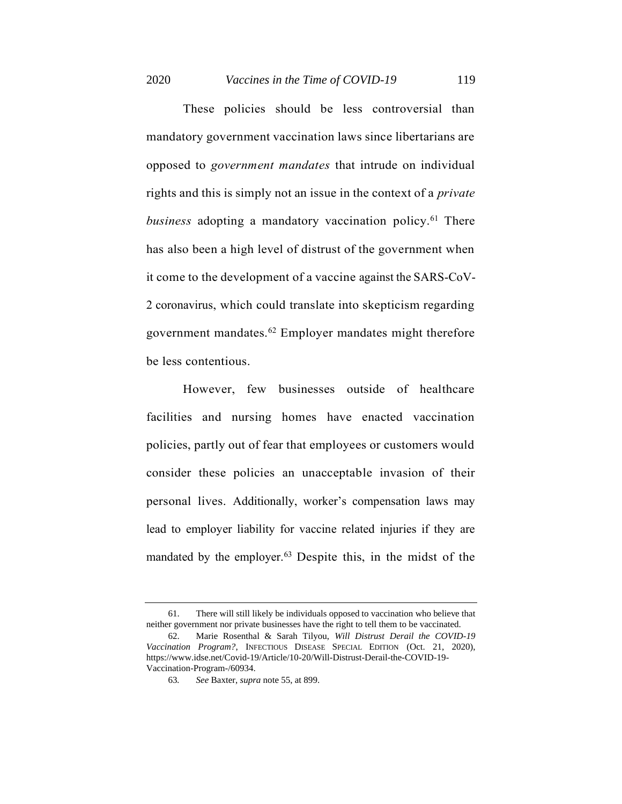These policies should be less controversial than mandatory government vaccination laws since libertarians are opposed to *government mandates* that intrude on individual rights and this is simply not an issue in the context of a *private business* adopting a mandatory vaccination policy.<sup>61</sup> There has also been a high level of distrust of the government when it come to the development of a vaccine against the SARS-CoV-2 coronavirus, which could translate into skepticism regarding government mandates.<sup>62</sup> Employer mandates might therefore be less contentious.

However, few businesses outside of healthcare facilities and nursing homes have enacted vaccination policies, partly out of fear that employees or customers would consider these policies an unacceptable invasion of their personal lives. Additionally, worker's compensation laws may lead to employer liability for vaccine related injuries if they are mandated by the employer.<sup>63</sup> Despite this, in the midst of the

<sup>61.</sup> There will still likely be individuals opposed to vaccination who believe that neither government nor private businesses have the right to tell them to be vaccinated.

<sup>62.</sup> Marie Rosenthal & Sarah Tilyou, *Will Distrust Derail the COVID-19 Vaccination Program?*, INFECTIOUS DISEASE SPECIAL EDITION (Oct. 21, 2020), https://www.idse.net/Covid-19/Article/10-20/Will-Distrust-Derail-the-COVID-19- Vaccination-Program-/60934.

<sup>63</sup>*. See* Baxter, *supra* note 55, at 899.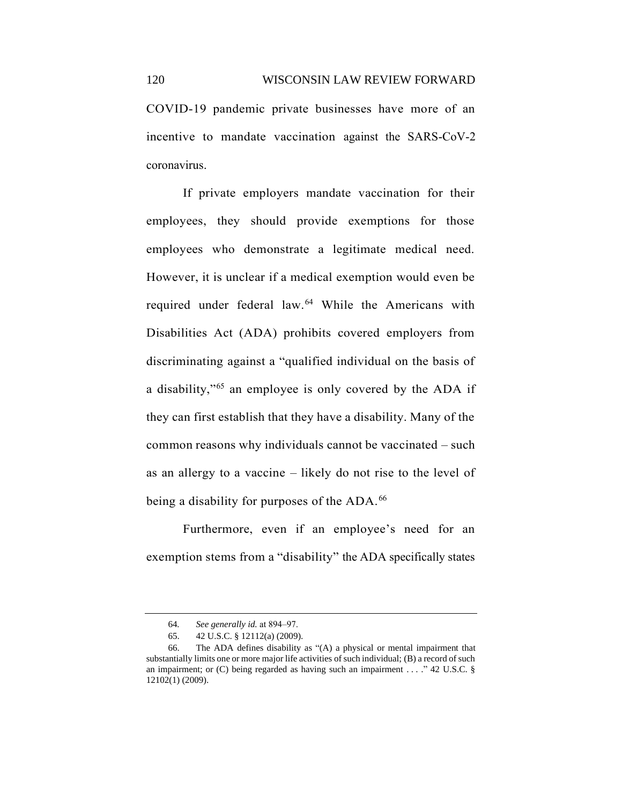COVID-19 pandemic private businesses have more of an incentive to mandate vaccination against the SARS-CoV-2 coronavirus.

If private employers mandate vaccination for their employees, they should provide exemptions for those employees who demonstrate a legitimate medical need. However, it is unclear if a medical exemption would even be required under federal law.<sup>64</sup> While the Americans with Disabilities Act (ADA) prohibits covered employers from discriminating against a "qualified individual on the basis of a disability,"<sup>65</sup> an employee is only covered by the ADA if they can first establish that they have a disability. Many of the common reasons why individuals cannot be vaccinated – such as an allergy to a vaccine – likely do not rise to the level of being a disability for purposes of the ADA.<sup>66</sup>

Furthermore, even if an employee's need for an exemption stems from a "disability" the ADA specifically states

<sup>64</sup>*. See generally id.* at 894‒97.

<sup>65.</sup> 42 U.S.C. § 12112(a) (2009).

<sup>66.</sup> The ADA defines disability as "(A) a physical or mental impairment that substantially limits one or more major life activities of such individual; (B) a record of such an impairment; or (C) being regarded as having such an impairment . . . ." 42 U.S.C. § 12102(1) (2009).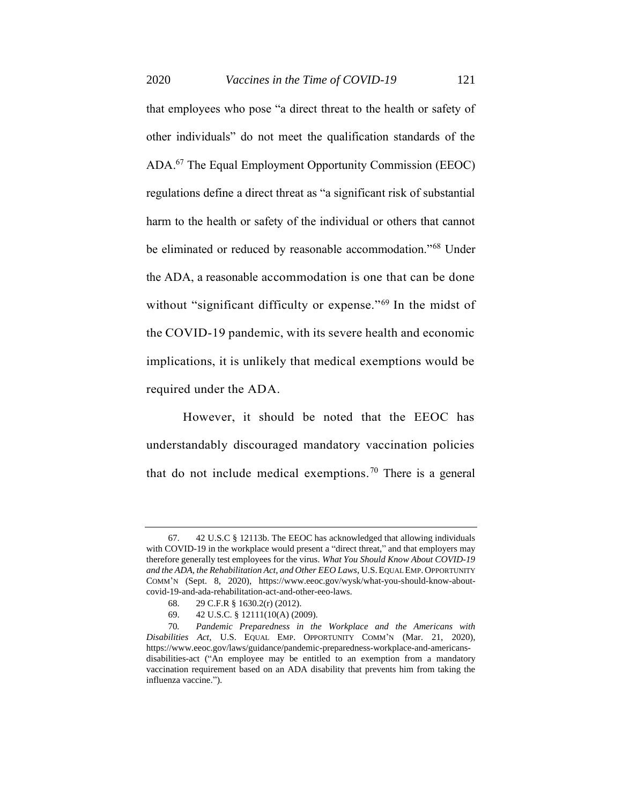2020 *Vaccines in the Time of COVID-19* 121

that employees who pose "a direct threat to the health or safety of other individuals" do not meet the qualification standards of the ADA.<sup>67</sup> The Equal Employment Opportunity Commission (EEOC) regulations define a direct threat as "a significant risk of substantial harm to the health or safety of the individual or others that cannot be eliminated or reduced by reasonable accommodation."<sup>68</sup> Under the ADA, a reasonable accommodation is one that can be done without "significant difficulty or expense."<sup>69</sup> In the midst of the COVID-19 pandemic, with its severe health and economic implications, it is unlikely that medical exemptions would be required under the ADA.

However, it should be noted that the EEOC has understandably discouraged mandatory vaccination policies that do not include medical exemptions.<sup>70</sup> There is a general

<sup>67.</sup> 42 U.S.C § 12113b. The EEOC has acknowledged that allowing individuals with COVID-19 in the workplace would present a "direct threat," and that employers may therefore generally test employees for the virus. *What You Should Know About COVID-19 and the ADA, the Rehabilitation Act, and Other EEO Laws*, U.S.EQUAL EMP.OPPORTUNITY COMM'N (Sept. 8, 2020), https://www.eeoc.gov/wysk/what-you-should-know-aboutcovid-19-and-ada-rehabilitation-act-and-other-eeo-laws.

<sup>68.</sup> 29 C.F.R § 1630.2(r) (2012).

<sup>69.</sup> 42 U.S.C. § 12111(10(A) (2009).

<sup>70</sup>*. Pandemic Preparedness in the Workplace and the Americans with Disabilities Act*, U.S. EQUAL EMP. OPPORTUNITY COMM'N (Mar. 21, 2020), https://www.eeoc.gov/laws/guidance/pandemic-preparedness-workplace-and-americansdisabilities-act ("An employee may be entitled to an exemption from a mandatory vaccination requirement based on an ADA disability that prevents him from taking the influenza vaccine.").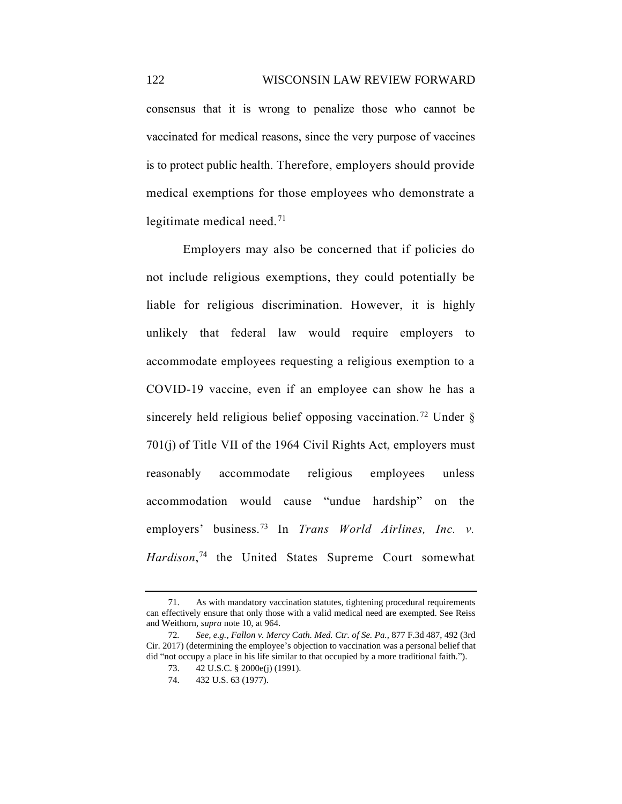consensus that it is wrong to penalize those who cannot be vaccinated for medical reasons, since the very purpose of vaccines is to protect public health. Therefore, employers should provide medical exemptions for those employees who demonstrate a legitimate medical need.<sup>71</sup>

Employers may also be concerned that if policies do not include religious exemptions, they could potentially be liable for religious discrimination. However, it is highly unlikely that federal law would require employers to accommodate employees requesting a religious exemption to a COVID-19 vaccine, even if an employee can show he has a sincerely held religious belief opposing vaccination.<sup>72</sup> Under  $\delta$ 701(j) of Title VII of the 1964 Civil Rights Act, employers must reasonably accommodate religious employees unless accommodation would cause "undue hardship" on the employers' business. <sup>73</sup> In *Trans World Airlines, Inc. v. Hardison*, <sup>74</sup> the United States Supreme Court somewhat

<sup>71.</sup> As with mandatory vaccination statutes, tightening procedural requirements can effectively ensure that only those with a valid medical need are exempted. See Reiss and Weithorn, *supra* note 10, at 964.

<sup>72</sup>*. See, e.g.*, *Fallon v. Mercy Cath. Med. Ctr. of Se. Pa.*, 877 F.3d 487, 492 (3rd Cir. 2017) (determining the employee's objection to vaccination was a personal belief that did "not occupy a place in his life similar to that occupied by a more traditional faith.").

<sup>73.</sup> 42 U.S.C. § 2000e(j) (1991).

<sup>74.</sup> 432 U.S. 63 (1977).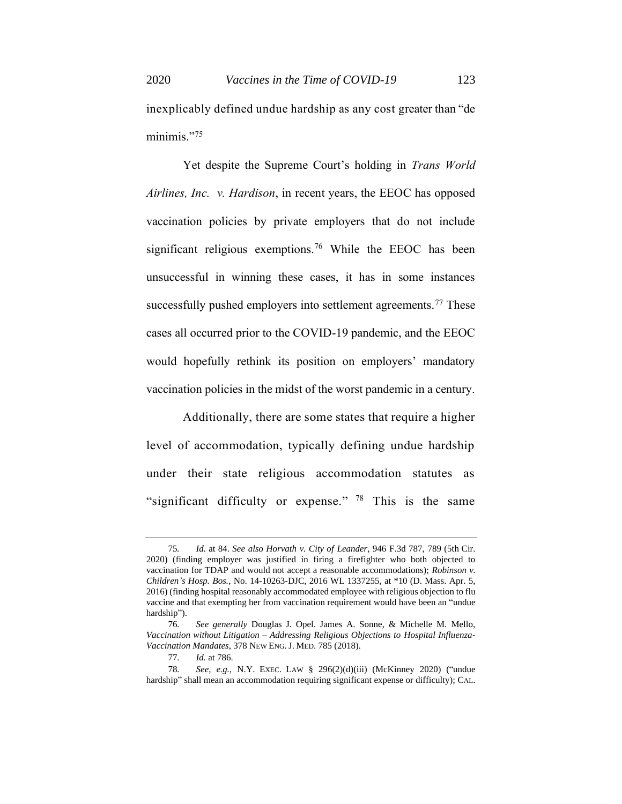inexplicably defined undue hardship as any cost greater than "de minimis."<sup>75</sup>

Yet despite the Supreme Court's holding in *Trans World Airlines, Inc. v. Hardison*, in recent years, the EEOC has opposed vaccination policies by private employers that do not include significant religious exemptions.<sup>76</sup> While the EEOC has been unsuccessful in winning these cases, it has in some instances successfully pushed employers into settlement agreements.<sup>77</sup> These cases all occurred prior to the COVID-19 pandemic, and the EEOC would hopefully rethink its position on employers' mandatory vaccination policies in the midst of the worst pandemic in a century.

Additionally, there are some states that require a higher level of accommodation, typically defining undue hardship under their state religious accommodation statutes as "significant difficulty or expense."  $78$  This is the same

<sup>75</sup>*. Id.* at 84. *See also Horvath v. City of Leander*, 946 F.3d 787, 789 (5th Cir. 2020) (finding employer was justified in firing a firefighter who both objected to vaccination for TDAP and would not accept a reasonable accommodations); *Robinson v. Children's Hosp. Bos.*, No. 14-10263-DJC, 2016 WL 1337255, at \*10 (D. Mass. Apr. 5, 2016) (finding hospital reasonably accommodated employee with religious objection to flu vaccine and that exempting her from vaccination requirement would have been an "undue hardship").

<sup>76</sup>*. See generally* Douglas J. Opel. James A. Sonne, & Michelle M. Mello, *Vaccination without Litigation – Addressing Religious Objections to Hospital Influenza-Vaccination Mandates*, 378 NEW ENG.J. MED. 785 (2018).

<sup>77</sup>*. Id.* at 786.

<sup>78</sup>*. See, e.g.*, N.Y. EXEC. LAW § 296(2)(d)(iii) (McKinney 2020) ("undue hardship" shall mean an accommodation requiring significant expense or difficulty); CAL.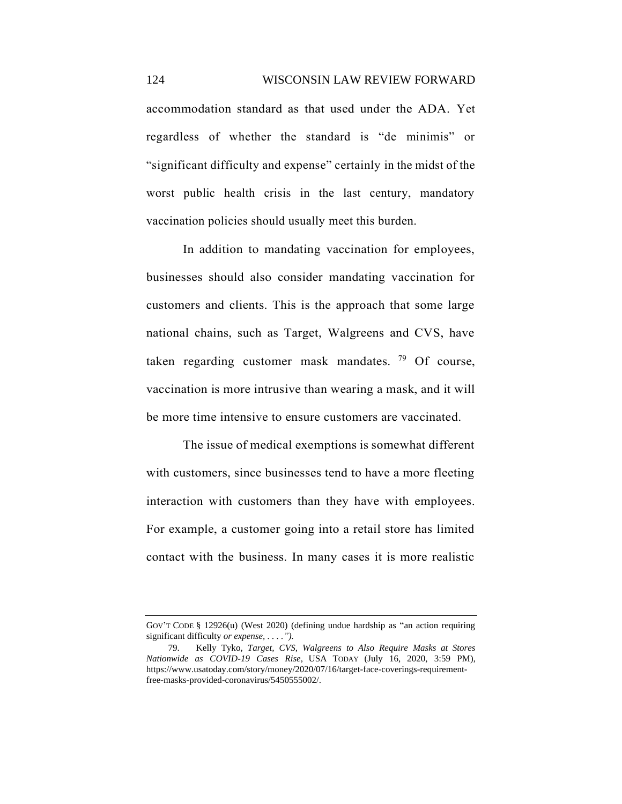accommodation standard as that used under the ADA. Yet regardless of whether the standard is "de minimis" or "significant difficulty and expense" certainly in the midst of the worst public health crisis in the last century, mandatory vaccination policies should usually meet this burden.

In addition to mandating vaccination for employees, businesses should also consider mandating vaccination for customers and clients. This is the approach that some large national chains, such as Target, Walgreens and CVS, have taken regarding customer mask mandates.  $79$  Of course, vaccination is more intrusive than wearing a mask, and it will be more time intensive to ensure customers are vaccinated.

The issue of medical exemptions is somewhat different with customers, since businesses tend to have a more fleeting interaction with customers than they have with employees. For example, a customer going into a retail store has limited contact with the business. In many cases it is more realistic

GOV'T CODE § 12926(u) (West 2020) (defining undue hardship as "an action requiring significant difficulty *or expense, . . . .").*

<sup>79.</sup> Kelly Tyko*, Target, CVS, Walgreens to Also Require Masks at Stores Nationwide as COVID-19 Cases Rise*, USA TODAY (July 16, 2020, 3:59 PM), https://www.usatoday.com/story/money/2020/07/16/target-face-coverings-requirementfree-masks-provided-coronavirus/5450555002/.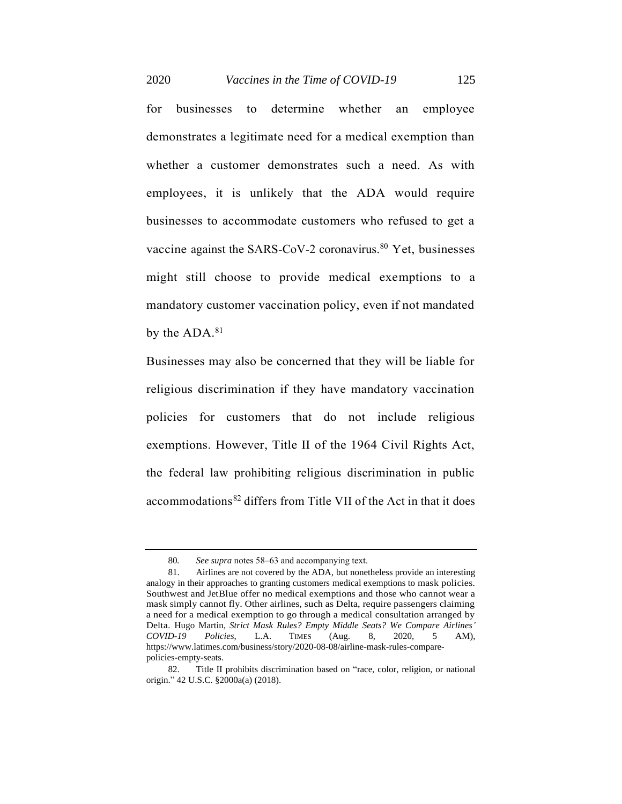2020 *Vaccines in the Time of COVID-19* 125

for businesses to determine whether an employee demonstrates a legitimate need for a medical exemption than whether a customer demonstrates such a need. As with employees, it is unlikely that the ADA would require businesses to accommodate customers who refused to get a vaccine against the SARS-CoV-2 coronavirus. <sup>80</sup> Yet, businesses might still choose to provide medical exemptions to a mandatory customer vaccination policy, even if not mandated by the ADA.<sup>81</sup>

Businesses may also be concerned that they will be liable for religious discrimination if they have mandatory vaccination policies for customers that do not include religious exemptions. However, Title II of the 1964 Civil Rights Act, the federal law prohibiting religious discrimination in public accommodations<sup>82</sup> differs from Title VII of the Act in that it does

<sup>80</sup>*. See supra* notes 58‒63 and accompanying text.

<sup>81.</sup> Airlines are not covered by the ADA, but nonetheless provide an interesting analogy in their approaches to granting customers medical exemptions to mask policies. Southwest and JetBlue offer no medical exemptions and those who cannot wear a mask simply cannot fly. Other airlines, such as Delta, require passengers claiming a need for a medical exemption to go through a medical consultation arranged by Delta. Hugo Martin, *Strict Mask Rules? Empty Middle Seats? We Compare Airlines' COVID-19 Policies*, L.A. TIMES (Aug. 8, 2020, 5 AM), https://www.latimes.com/business/story/2020-08-08/airline-mask-rules-comparepolicies-empty-seats.

<sup>82.</sup> Title II prohibits discrimination based on "race, color, religion, or national origin." 42 U.S.C. §2000a(a) (2018).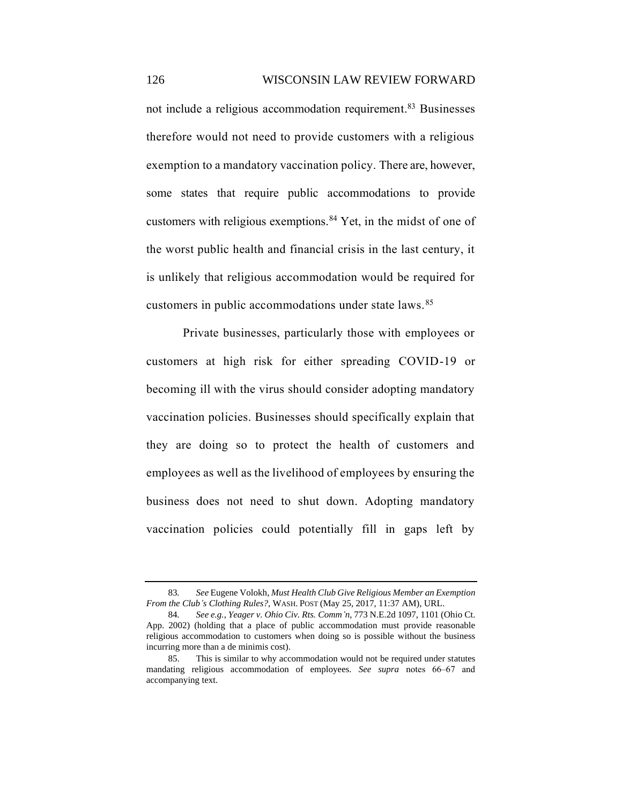not include a religious accommodation requirement.<sup>83</sup> Businesses therefore would not need to provide customers with a religious exemption to a mandatory vaccination policy. There are, however, some states that require public accommodations to provide customers with religious exemptions.<sup>84</sup> Yet, in the midst of one of the worst public health and financial crisis in the last century, it is unlikely that religious accommodation would be required for customers in public accommodations under state laws.<sup>85</sup>

Private businesses, particularly those with employees or customers at high risk for either spreading COVID-19 or becoming ill with the virus should consider adopting mandatory vaccination policies. Businesses should specifically explain that they are doing so to protect the health of customers and employees as well as the livelihood of employees by ensuring the business does not need to shut down. Adopting mandatory vaccination policies could potentially fill in gaps left by

<sup>83</sup>*. See* Eugene Volokh, *Must Health Club Give Religious Member an Exemption From the Club's Clothing Rules?*, WASH. POST (May 25, 2017, 11:37 AM), URL.

<sup>84</sup>*. See e.g.*, *Yeager v. Ohio Civ. Rts. Comm'n*, 773 N.E.2d 1097, 1101 (Ohio Ct. App. 2002) (holding that a place of public accommodation must provide reasonable religious accommodation to customers when doing so is possible without the business incurring more than a de minimis cost).

<sup>85.</sup> This is similar to why accommodation would not be required under statutes mandating religious accommodation of employees. *See supra* notes 66–67 and accompanying text.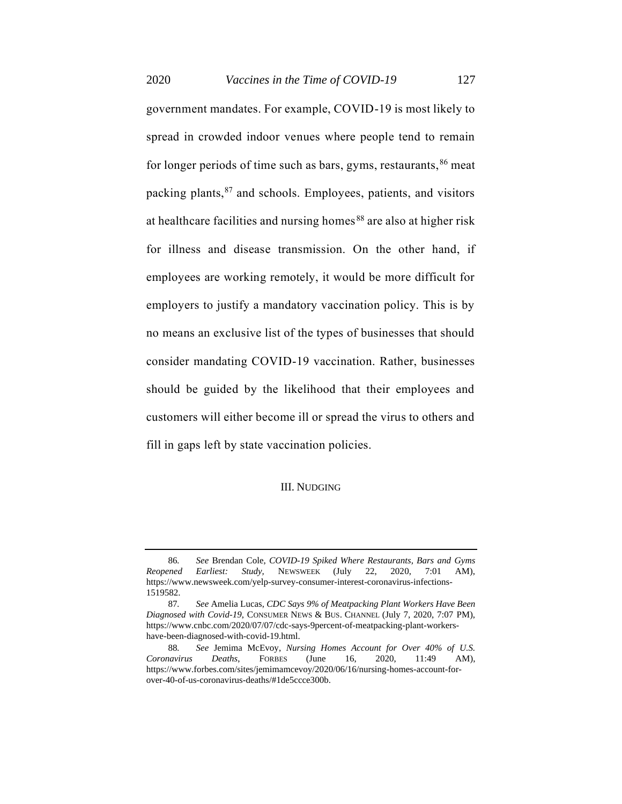2020 *Vaccines in the Time of COVID-19* 127

government mandates. For example, COVID-19 is most likely to spread in crowded indoor venues where people tend to remain for longer periods of time such as bars, gyms, restaurants,  $86$  meat packing plants, <sup>87</sup> and schools. Employees, patients, and visitors at healthcare facilities and nursing homes<sup>88</sup> are also at higher risk for illness and disease transmission. On the other hand, if employees are working remotely, it would be more difficult for employers to justify a mandatory vaccination policy. This is by no means an exclusive list of the types of businesses that should consider mandating COVID-19 vaccination. Rather, businesses should be guided by the likelihood that their employees and customers will either become ill or spread the virus to others and fill in gaps left by state vaccination policies.

#### III. NUDGING

<sup>86</sup>*. See* Brendan Cole, *COVID-19 Spiked Where Restaurants, Bars and Gyms Reopened Earliest: Study,* NEWSWEEK (July 22, 2020, 7:01 AM), https://www.newsweek.com/yelp-survey-consumer-interest-coronavirus-infections-1519582.

<sup>87</sup>*. See* Amelia Lucas, *CDC Says 9% of Meatpacking Plant Workers Have Been Diagnosed with Covid-19*, CONSUMER NEWS & BUS. CHANNEL (July 7, 2020, 7:07 PM), https://www.cnbc.com/2020/07/07/cdc-says-9percent-of-meatpacking-plant-workershave-been-diagnosed-with-covid-19.html.

<sup>88</sup>*. See* Jemima McEvoy, *Nursing Homes Account for Over 40% of U.S. Coronavirus Deaths*, FORBES (June 16, 2020, 11:49 AM), https://www.forbes.com/sites/jemimamcevoy/2020/06/16/nursing-homes-account-forover-40-of-us-coronavirus-deaths/#1de5ccce300b.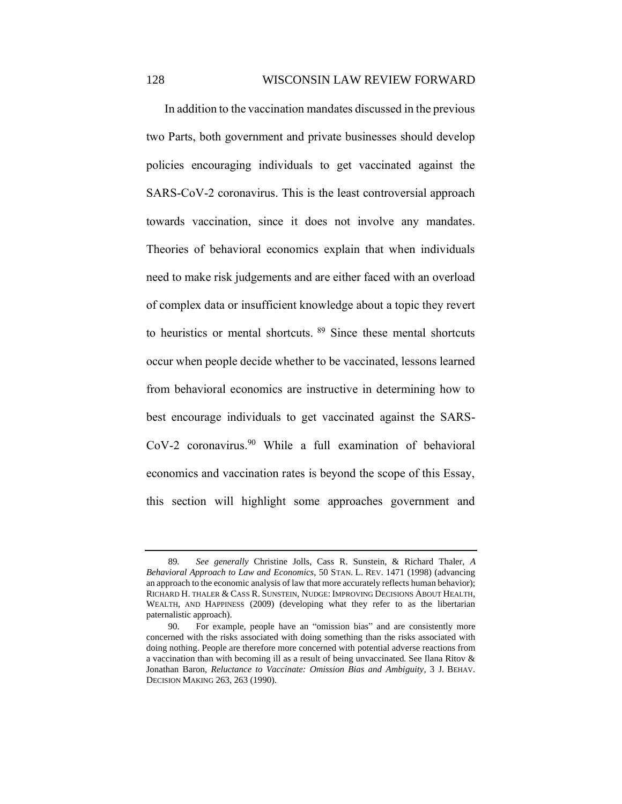In addition to the vaccination mandates discussed in the previous two Parts, both government and private businesses should develop policies encouraging individuals to get vaccinated against the SARS-CoV-2 coronavirus. This is the least controversial approach towards vaccination, since it does not involve any mandates. Theories of behavioral economics explain that when individuals need to make risk judgements and are either faced with an overload of complex data or insufficient knowledge about a topic they revert to heuristics or mental shortcuts. <sup>89</sup> Since these mental shortcuts occur when people decide whether to be vaccinated, lessons learned from behavioral economics are instructive in determining how to best encourage individuals to get vaccinated against the SARS-CoV-2 coronavirus.<sup>90</sup> While a full examination of behavioral economics and vaccination rates is beyond the scope of this Essay, this section will highlight some approaches government and

<sup>89</sup>*. See generally* Christine Jolls, Cass R. Sunstein, & Richard Thaler, *A Behavioral Approach to Law and Economics*, 50 STAN. L. REV. 1471 (1998) (advancing an approach to the economic analysis of law that more accurately reflects human behavior); RICHARD H. THALER & CASS R. SUNSTEIN, NUDGE: IMPROVING DECISIONS ABOUT HEALTH, WEALTH, AND HAPPINESS (2009) (developing what they refer to as the libertarian paternalistic approach).

<sup>90.</sup> For example, people have an "omission bias" and are consistently more concerned with the risks associated with doing something than the risks associated with doing nothing. People are therefore more concerned with potential adverse reactions from a vaccination than with becoming ill as a result of being unvaccinated. See Ilana Ritov & Jonathan Baron, *Reluctance to Vaccinate: Omission Bias and Ambiguity*, 3 J. BEHAV. DECISION MAKING 263, 263 (1990).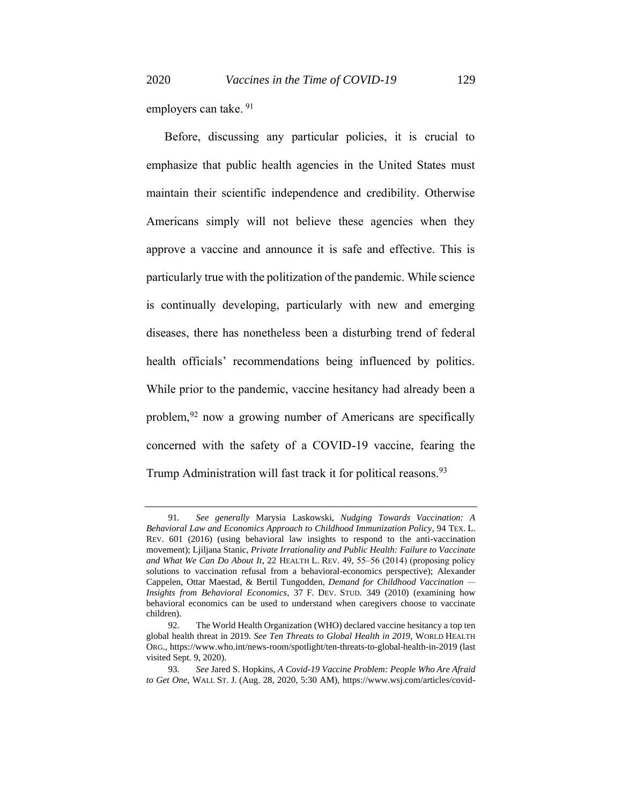employers can take. <sup>91</sup>

Before, discussing any particular policies, it is crucial to emphasize that public health agencies in the United States must maintain their scientific independence and credibility. Otherwise Americans simply will not believe these agencies when they approve a vaccine and announce it is safe and effective. This is particularly true with the politization of the pandemic. While science is continually developing, particularly with new and emerging diseases, there has nonetheless been a disturbing trend of federal health officials' recommendations being influenced by politics. While prior to the pandemic, vaccine hesitancy had already been a problem,<sup>92</sup> now a growing number of Americans are specifically concerned with the safety of a COVID-19 vaccine, fearing the Trump Administration will fast track it for political reasons.<sup>93</sup>

<sup>91</sup>*. See generally* Marysia Laskowski, *Nudging Towards Vaccination: A Behavioral Law and Economics Approach to Childhood Immunization Policy*, 94 TEX. L. REV. 601 (2016) (using behavioral law insights to respond to the anti-vaccination movement); Ljiljana Stanic, *Private Irrationality and Public Health: Failure to Vaccinate and What We Can Do About It*, 22 HEALTH L. REV. 49, 55‒56 (2014) (proposing policy solutions to vaccination refusal from a behavioral-economics perspective); Alexander Cappelen, Ottar Maestad, & Bertil Tungodden, *Demand for Childhood Vaccination — Insights from Behavioral Economics*, 37 F. DEV. STUD. 349 (2010) (examining how behavioral economics can be used to understand when caregivers choose to vaccinate children).

<sup>92.</sup> The World Health Organization (WHO) declared vaccine hesitancy a top ten global health threat in 2019. *See Ten Threats to Global Health in 2019*, WORLD HEALTH ORG., https://www.who.int/news-room/spotlight/ten-threats-to-global-health-in-2019 (last visited Sept. 9, 2020).

<sup>93</sup>*. See* Jared S. Hopkins, *A Covid-19 Vaccine Problem: People Who Are Afraid to Get One*, WALL ST. J. (Aug. 28, 2020, 5:30 AM), https://www.wsj.com/articles/covid-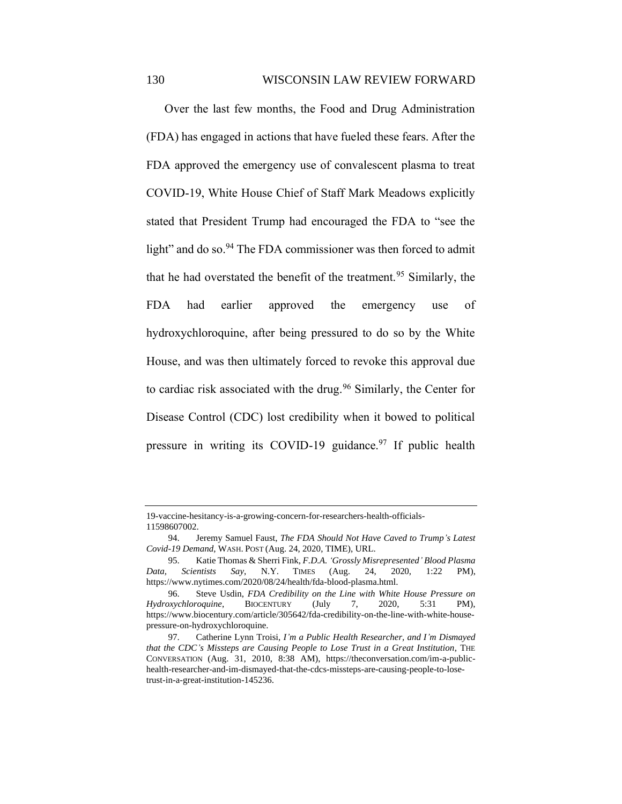Over the last few months, the Food and Drug Administration (FDA) has engaged in actions that have fueled these fears. After the FDA approved the emergency use of convalescent plasma to treat COVID-19, White House Chief of Staff Mark Meadows explicitly stated that President Trump had encouraged the FDA to "see the light" and do so.<sup>94</sup> The FDA commissioner was then forced to admit that he had overstated the benefit of the treatment.<sup>95</sup> Similarly, the FDA had earlier approved the emergency use of hydroxychloroquine, after being pressured to do so by the White House, and was then ultimately forced to revoke this approval due to cardiac risk associated with the drug.<sup>96</sup> Similarly, the Center for Disease Control (CDC) lost credibility when it bowed to political pressure in writing its COVID-19 guidance.<sup>97</sup> If public health

<sup>19-</sup>vaccine-hesitancy-is-a-growing-concern-for-researchers-health-officials-11598607002.

<sup>94.</sup> Jeremy Samuel Faust, *The FDA Should Not Have Caved to Trump's Latest Covid-19 Demand*, WASH. POST (Aug. 24, 2020, TIME), URL.

<sup>95.</sup> Katie Thomas & Sherri Fink, *F.D.A. 'Grossly Misrepresented' Blood Plasma Data, Scientists Say*, N.Y. TIMES (Aug. 24, 2020, 1:22 PM), https://www.nytimes.com/2020/08/24/health/fda-blood-plasma.html.

<sup>96.</sup> Steve Usdin, *FDA Credibility on the Line with White House Pressure on Hydroxychloroquine*, BIOCENTURY (July 7, 2020, 5:31 PM), https://www.biocentury.com/article/305642/fda-credibility-on-the-line-with-white-housepressure-on-hydroxychloroquine.

<sup>97.</sup> Catherine Lynn Troisi, *I'm a Public Health Researcher, and I'm Dismayed that the CDC's Missteps are Causing People to Lose Trust in a Great Institution*, THE CONVERSATION (Aug. 31, 2010, 8:38 AM), https://theconversation.com/im-a-publichealth-researcher-and-im-dismayed-that-the-cdcs-missteps-are-causing-people-to-losetrust-in-a-great-institution-145236.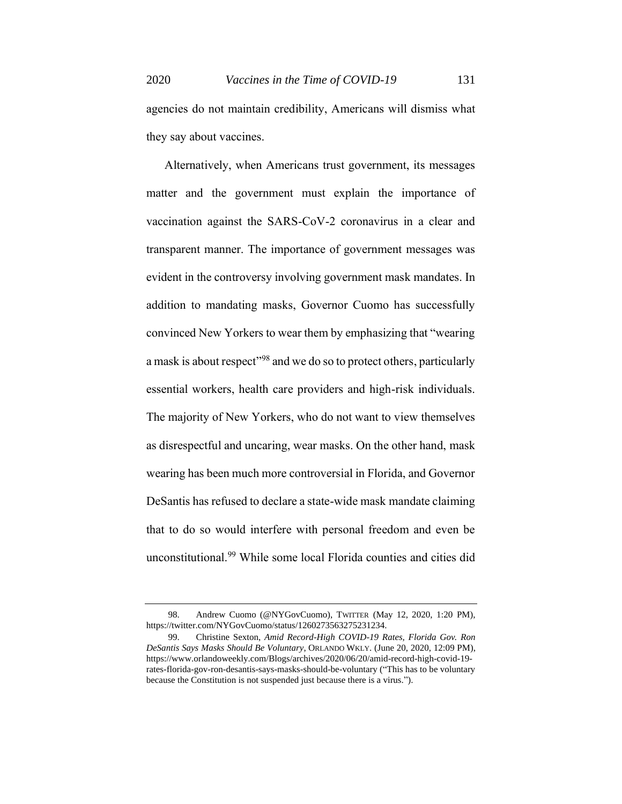agencies do not maintain credibility, Americans will dismiss what they say about vaccines.

Alternatively, when Americans trust government, its messages matter and the government must explain the importance of vaccination against the SARS-CoV-2 coronavirus in a clear and transparent manner. The importance of government messages was evident in the controversy involving government mask mandates. In addition to mandating masks, Governor Cuomo has successfully convinced New Yorkers to wear them by emphasizing that "wearing a mask is about respect<sup>"98</sup> and we do so to protect others, particularly essential workers, health care providers and high-risk individuals. The majority of New Yorkers, who do not want to view themselves as disrespectful and uncaring, wear masks. On the other hand, mask wearing has been much more controversial in Florida, and Governor DeSantis has refused to declare a state-wide mask mandate claiming that to do so would interfere with personal freedom and even be unconstitutional.<sup>99</sup> While some local Florida counties and cities did

<sup>98.</sup> Andrew Cuomo (@NYGovCuomo), TWITTER (May 12, 2020, 1:20 PM), https://twitter.com/NYGovCuomo/status/1260273563275231234.

<sup>99.</sup> Christine Sexton, *Amid Record-High COVID-19 Rates, Florida Gov. Ron DeSantis Says Masks Should Be Voluntary*, ORLANDO WKLY. (June 20, 2020, 12:09 PM), https://www.orlandoweekly.com/Blogs/archives/2020/06/20/amid-record-high-covid-19 rates-florida-gov-ron-desantis-says-masks-should-be-voluntary ("This has to be voluntary because the Constitution is not suspended just because there is a virus.").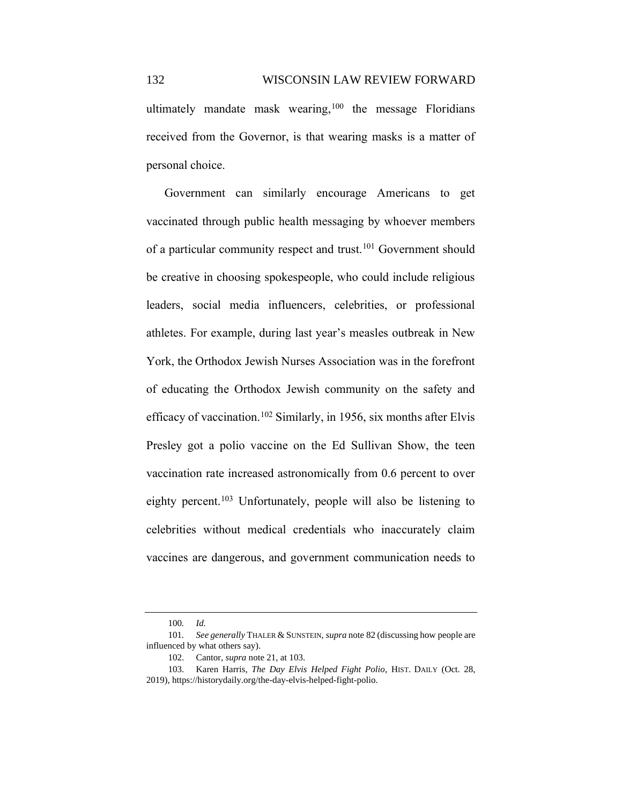ultimately mandate mask wearing, $100$  the message Floridians received from the Governor, is that wearing masks is a matter of personal choice.

Government can similarly encourage Americans to get vaccinated through public health messaging by whoever members of a particular community respect and trust.<sup>101</sup> Government should be creative in choosing spokespeople, who could include religious leaders, social media influencers, celebrities, or professional athletes. For example, during last year's measles outbreak in New York, the Orthodox Jewish Nurses Association was in the forefront of educating the Orthodox Jewish community on the safety and efficacy of vaccination.<sup>102</sup> Similarly, in 1956, six months after Elvis Presley got a polio vaccine on the Ed Sullivan Show, the teen vaccination rate increased astronomically from 0.6 percent to over eighty percent.<sup>103</sup> Unfortunately, people will also be listening to celebrities without medical credentials who inaccurately claim vaccines are dangerous, and government communication needs to

<sup>100</sup>*. Id.* 

<sup>101</sup>*. See generally* THALER & SUNSTEIN, *supra* note 82 (discussing how people are influenced by what others say).

<sup>102.</sup> Cantor, *supra* note 21, at 103.

<sup>103.</sup> Karen Harris, *The Day Elvis Helped Fight Polio*, HIST. DAILY (Oct. 28, 2019), https://historydaily.org/the-day-elvis-helped-fight-polio.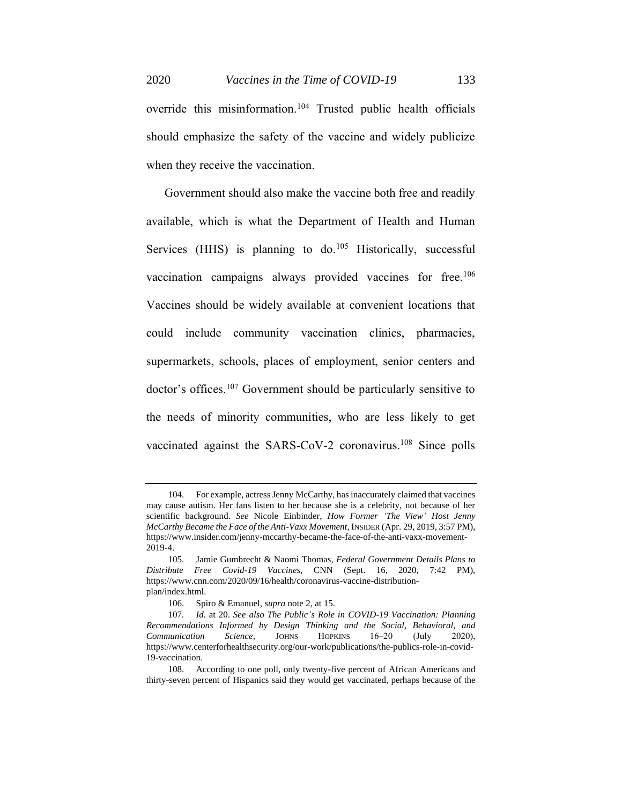2020 *Vaccines in the Time of COVID-19* 133

override this misinformation.<sup>104</sup> Trusted public health officials should emphasize the safety of the vaccine and widely publicize when they receive the vaccination.

Government should also make the vaccine both free and readily available, which is what the Department of Health and Human Services (HHS) is planning to  $\phi$ <sup>105</sup> Historically, successful vaccination campaigns always provided vaccines for free.<sup>106</sup> Vaccines should be widely available at convenient locations that could include community vaccination clinics, pharmacies, supermarkets, schools, places of employment, senior centers and doctor's offices.<sup>107</sup> Government should be particularly sensitive to the needs of minority communities, who are less likely to get vaccinated against the SARS-CoV-2 coronavirus.<sup>108</sup> Since polls

<sup>104.</sup> For example, actress Jenny McCarthy, has inaccurately claimed that vaccines may cause autism. Her fans listen to her because she is a celebrity, not because of her scientific background. *See* Nicole Einbinder, *How Former 'The View' Host Jenny McCarthy Became the Face of the Anti-Vaxx Movement*, INSIDER (Apr. 29, 2019, 3:57 PM), https://www.insider.com/jenny-mccarthy-became-the-face-of-the-anti-vaxx-movement-2019-4.

<sup>105.</sup> Jamie Gumbrecht & Naomi Thomas, *Federal Government Details Plans to Distribute Free Covid-19 Vaccines*, CNN (Sept. 16, 2020, 7:42 PM), https://www.cnn.com/2020/09/16/health/coronavirus-vaccine-distributionplan/index.html.

<sup>106.</sup> Spiro & Emanuel, *supra* note 2, at 15.

<sup>107</sup>*. Id.* at 20. *See also The Public's Role in COVID-19 Vaccination: Planning Recommendations Informed by Design Thinking and the Social, Behavioral, and Communication Science*, JOHNS HOPKINS 16‒20 (July 2020), https://www.centerforhealthsecurity.org/our-work/publications/the-publics-role-in-covid-19-vaccination.

<sup>108.</sup> According to one poll, only twenty-five percent of African Americans and thirty-seven percent of Hispanics said they would get vaccinated, perhaps because of the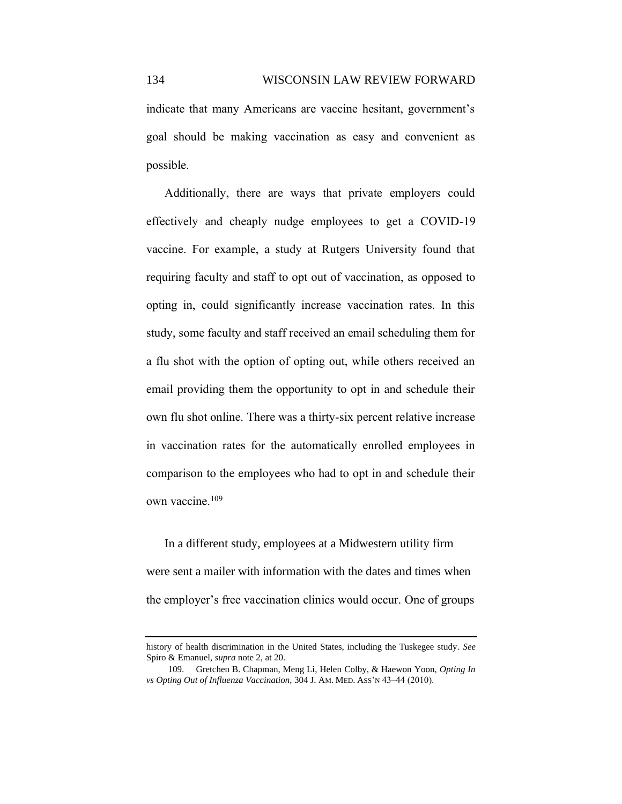indicate that many Americans are vaccine hesitant, government's goal should be making vaccination as easy and convenient as possible.

Additionally, there are ways that private employers could effectively and cheaply nudge employees to get a COVID-19 vaccine. For example, a study at Rutgers University found that requiring faculty and staff to opt out of vaccination, as opposed to opting in, could significantly increase vaccination rates. In this study, some faculty and staff received an email scheduling them for a flu shot with the option of opting out, while others received an email providing them the opportunity to opt in and schedule their own flu shot online. There was a thirty-six percent relative increase in vaccination rates for the automatically enrolled employees in comparison to the employees who had to opt in and schedule their own vaccine.<sup>109</sup>

In a different study, employees at a Midwestern utility firm were sent a mailer with information with the dates and times when the employer's free vaccination clinics would occur. One of groups

history of health discrimination in the United States, including the Tuskegee study. *See*  Spiro & Emanuel, *supra* note 2, at 20.

<sup>109.</sup> Gretchen B. Chapman, Meng Li, Helen Colby, & Haewon Yoon, *Opting In*  vs Opting Out of Influenza Vaccination, 304 J. AM. MED. ASS'N 43-44 (2010).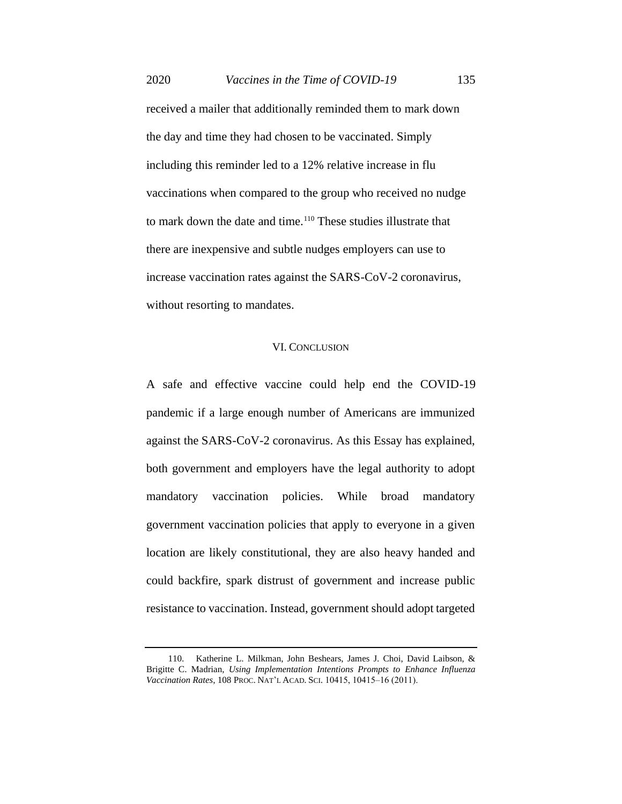received a mailer that additionally reminded them to mark down the day and time they had chosen to be vaccinated. Simply including this reminder led to a 12% relative increase in flu vaccinations when compared to the group who received no nudge to mark down the date and time.<sup>110</sup> These studies illustrate that there are inexpensive and subtle nudges employers can use to increase vaccination rates against the SARS-CoV-2 coronavirus, without resorting to mandates.

## VI. CONCLUSION

A safe and effective vaccine could help end the COVID-19 pandemic if a large enough number of Americans are immunized against the SARS-CoV-2 coronavirus. As this Essay has explained, both government and employers have the legal authority to adopt mandatory vaccination policies. While broad mandatory government vaccination policies that apply to everyone in a given location are likely constitutional, they are also heavy handed and could backfire, spark distrust of government and increase public resistance to vaccination. Instead, government should adopt targeted

<sup>110.</sup> Katherine L. Milkman, John Beshears, James J. Choi, David Laibson, & Brigitte C. Madrian, *Using Implementation Intentions Prompts to Enhance Influenza Vaccination Rates*, 108 PROC. NAT'L ACAD. SCI. 10415, 10415-16 (2011).